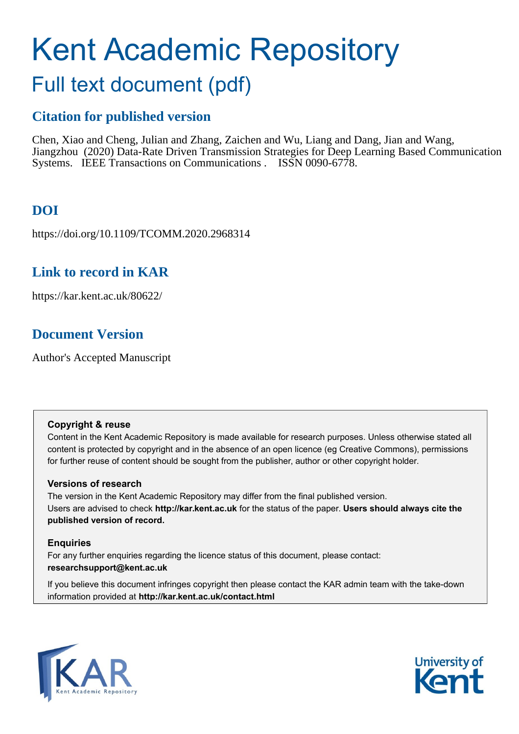# Kent Academic Repository

# Full text document (pdf)

### **Citation for published version**

Chen, Xiao and Cheng, Julian and Zhang, Zaichen and Wu, Liang and Dang, Jian and Wang, Jiangzhou (2020) Data-Rate Driven Transmission Strategies for Deep Learning Based Communication Systems. IEEE Transactions on Communications . ISSN 0090-6778.

## **DOI**

https://doi.org/10.1109/TCOMM.2020.2968314

### **Link to record in KAR**

https://kar.kent.ac.uk/80622/

## **Document Version**

Author's Accepted Manuscript

#### **Copyright & reuse**

Content in the Kent Academic Repository is made available for research purposes. Unless otherwise stated all content is protected by copyright and in the absence of an open licence (eg Creative Commons), permissions for further reuse of content should be sought from the publisher, author or other copyright holder.

#### **Versions of research**

The version in the Kent Academic Repository may differ from the final published version. Users are advised to check **http://kar.kent.ac.uk** for the status of the paper. **Users should always cite the published version of record.**

#### **Enquiries**

For any further enquiries regarding the licence status of this document, please contact: **researchsupport@kent.ac.uk**

If you believe this document infringes copyright then please contact the KAR admin team with the take-down information provided at **http://kar.kent.ac.uk/contact.html**



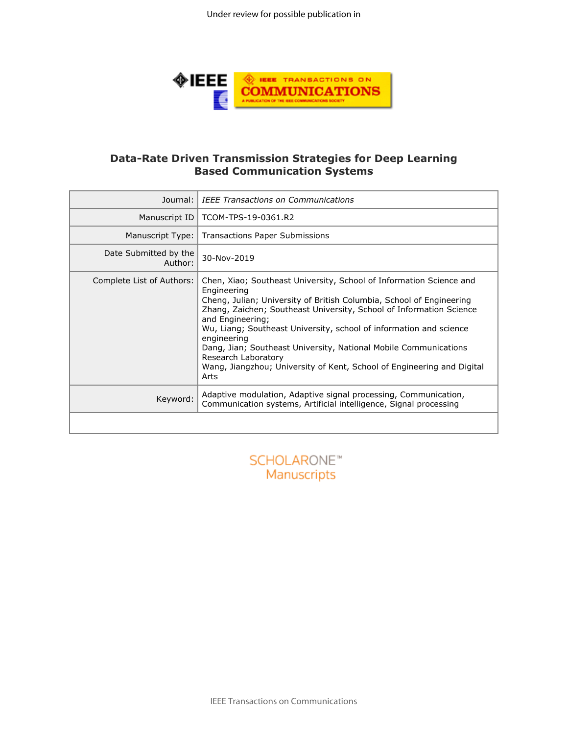

#### **Data-Rate Driven Transmission Strategies for Deep Learning Based Communication Systems**

| Journal:                         | <b>IEEE Transactions on Communications</b>                                                                                                                                                                                                                                                                                                                                                                                                                                                                              |
|----------------------------------|-------------------------------------------------------------------------------------------------------------------------------------------------------------------------------------------------------------------------------------------------------------------------------------------------------------------------------------------------------------------------------------------------------------------------------------------------------------------------------------------------------------------------|
| Manuscript ID                    | TCOM-TPS-19-0361.R2                                                                                                                                                                                                                                                                                                                                                                                                                                                                                                     |
| Manuscript Type:                 | <b>Transactions Paper Submissions</b>                                                                                                                                                                                                                                                                                                                                                                                                                                                                                   |
| Date Submitted by the<br>Author: | 30-Nov-2019                                                                                                                                                                                                                                                                                                                                                                                                                                                                                                             |
| Complete List of Authors:        | Chen, Xiao; Southeast University, School of Information Science and<br>Engineering<br>Cheng, Julian; University of British Columbia, School of Engineering<br>Zhang, Zaichen; Southeast University, School of Information Science<br>and Engineering;<br>Wu, Liang; Southeast University, school of information and science<br>engineering<br>Dang, Jian; Southeast University, National Mobile Communications<br>Research Laboratory<br>Wang, Jiangzhou; University of Kent, School of Engineering and Digital<br>Arts |
| Keyword:                         | Adaptive modulation, Adaptive signal processing, Communication,<br>Communication systems, Artificial intelligence, Signal processing                                                                                                                                                                                                                                                                                                                                                                                    |
|                                  |                                                                                                                                                                                                                                                                                                                                                                                                                                                                                                                         |

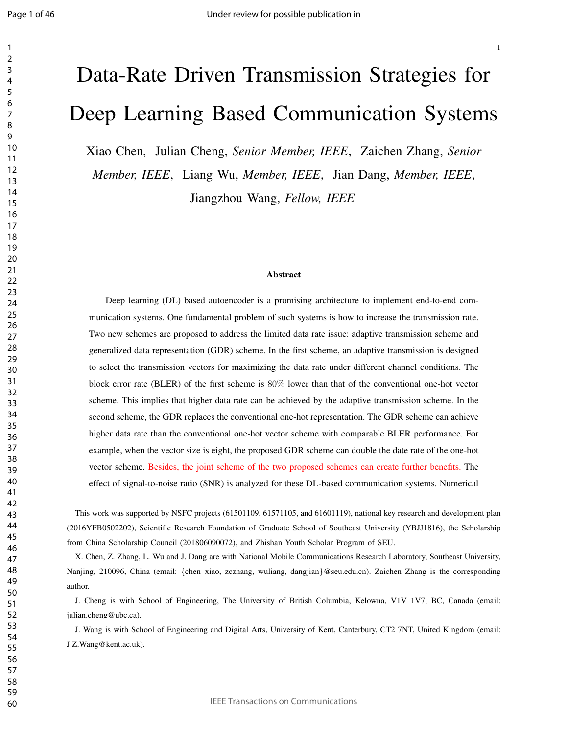# Data-Rate Driven Transmission Strategies for Deep Learning Based Communication Systems

Xiao Chen, Julian Cheng, *Senior Member, IEEE*, Zaichen Zhang, *Senior*

*Member, IEEE*, Liang Wu, *Member, IEEE*, Jian Dang, *Member, IEEE*,

Jiangzhou Wang, *Fellow, IEEE*

#### Abstract

Deep learning (DL) based autoencoder is a promising architecture to implement end-to-end communication systems. One fundamental problem of such systems is how to increase the transmission rate. Two new schemes are proposed to address the limited data rate issue: adaptive transmission scheme and generalized data representation (GDR) scheme. In the first scheme, an adaptive transmission is designed to select the transmission vectors for maximizing the data rate under different channel conditions. The block error rate (BLER) of the first scheme is 80% lower than that of the conventional one-hot vector scheme. This implies that higher data rate can be achieved by the adaptive transmission scheme. In the second scheme, the GDR replaces the conventional one-hot representation. The GDR scheme can achieve higher data rate than the conventional one-hot vector scheme with comparable BLER performance. For example, when the vector size is eight, the proposed GDR scheme can double the date rate of the one-hot vector scheme. Besides, the joint scheme of the two proposed schemes can create further benefits. The effect of signal-to-noise ratio (SNR) is analyzed for these DL-based communication systems. Numerical

This work was supported by NSFC projects (61501109, 61571105, and 61601119), national key research and development plan (2016YFB0502202), Scientific Research Foundation of Graduate School of Southeast University (YBJJ1816), the Scholarship from China Scholarship Council (201806090072), and Zhishan Youth Scholar Program of SEU.

X. Chen, Z. Zhang, L. Wu and J. Dang are with National Mobile Communications Research Laboratory, Southeast University, Nanjing, 210096, China (email: *{*chen xiao, zczhang, wuliang, dangjian*}*@seu.edu.cn). Zaichen Zhang is the corresponding author.

J. Cheng is with School of Engineering, The University of British Columbia, Kelowna, V1V 1V7, BC, Canada (email: julian.cheng@ubc.ca).

J. Wang is with School of Engineering and Digital Arts, University of Kent, Canterbury, CT2 7NT, United Kingdom (email: J.Z.Wang@kent.ac.uk).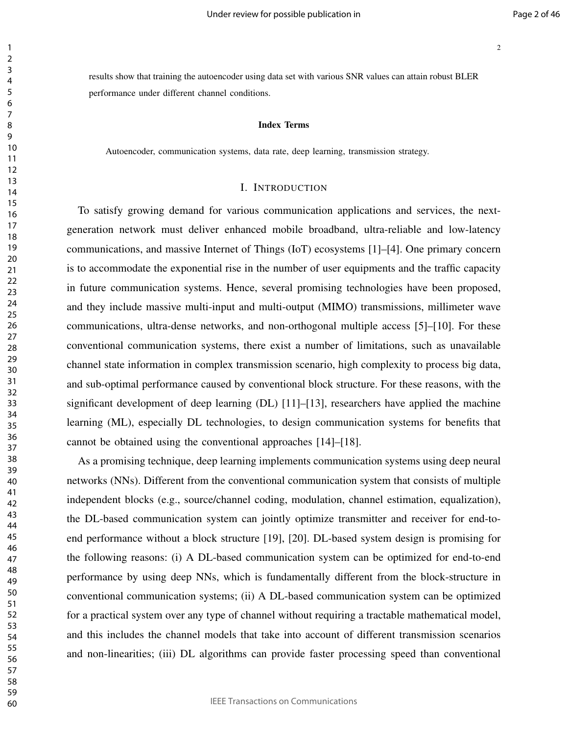$\mathfrak{D}$ 

results show that training the autoencoder using data set with various SNR values can attain robust BLER performance under different channel conditions.

#### Index Terms

Autoencoder, communication systems, data rate, deep learning, transmission strategy.

#### I. INTRODUCTION

To satisfy growing demand for various communication applications and services, the nextgeneration network must deliver enhanced mobile broadband, ultra-reliable and low-latency communications, and massive Internet of Things (IoT) ecosystems [1]–[4]. One primary concern is to accommodate the exponential rise in the number of user equipments and the traffic capacity in future communication systems. Hence, several promising technologies have been proposed, and they include massive multi-input and multi-output (MIMO) transmissions, millimeter wave communications, ultra-dense networks, and non-orthogonal multiple access [5]–[10]. For these conventional communication systems, there exist a number of limitations, such as unavailable channel state information in complex transmission scenario, high complexity to process big data, and sub-optimal performance caused by conventional block structure. For these reasons, with the significant development of deep learning (DL) [11]–[13], researchers have applied the machine learning (ML), especially DL technologies, to design communication systems for benefits that cannot be obtained using the conventional approaches [14]–[18].

As a promising technique, deep learning implements communication systems using deep neural networks (NNs). Different from the conventional communication system that consists of multiple independent blocks (e.g., source/channel coding, modulation, channel estimation, equalization), the DL-based communication system can jointly optimize transmitter and receiver for end-toend performance without a block structure [19], [20]. DL-based system design is promising for the following reasons: (i) A DL-based communication system can be optimized for end-to-end performance by using deep NNs, which is fundamentally different from the block-structure in conventional communication systems; (ii) A DL-based communication system can be optimized for a practical system over any type of channel without requiring a tractable mathematical model, and this includes the channel models that take into account of different transmission scenarios and non-linearities; (iii) DL algorithms can provide faster processing speed than conventional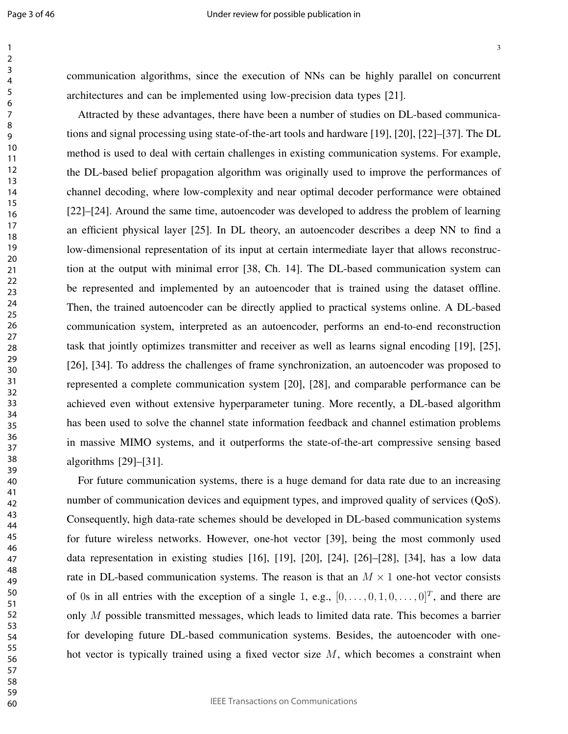communication algorithms, since the execution of NNs can be highly parallel on concurrent architectures and can be implemented using low-precision data types [21].

Attracted by these advantages, there have been a number of studies on DL-based communications and signal processing using state-of-the-art tools and hardware [19], [20], [22]–[37]. The DL method is used to deal with certain challenges in existing communication systems. For example, the DL-based belief propagation algorithm was originally used to improve the performances of channel decoding, where low-complexity and near optimal decoder performance were obtained [22]–[24]. Around the same time, autoencoder was developed to address the problem of learning an efficient physical layer [25]. In DL theory, an autoencoder describes a deep NN to find a low-dimensional representation of its input at certain intermediate layer that allows reconstruction at the output with minimal error [38, Ch. 14]. The DL-based communication system can be represented and implemented by an autoencoder that is trained using the dataset offline. Then, the trained autoencoder can be directly applied to practical systems online. A DL-based communication system, interpreted as an autoencoder, performs an end-to-end reconstruction task that jointly optimizes transmitter and receiver as well as learns signal encoding [19], [25], [26], [34]. To address the challenges of frame synchronization, an autoencoder was proposed to represented a complete communication system [20], [28], and comparable performance can be achieved even without extensive hyperparameter tuning. More recently, a DL-based algorithm has been used to solve the channel state information feedback and channel estimation problems in massive MIMO systems, and it outperforms the state-of-the-art compressive sensing based algorithms [29]–[31].

For future communication systems, there is a huge demand for data rate due to an increasing number of communication devices and equipment types, and improved quality of services (QoS). Consequently, high data-rate schemes should be developed in DL-based communication systems for future wireless networks. However, one-hot vector [39], being the most commonly used data representation in existing studies [16], [19], [20], [24], [26]–[28], [34], has a low data rate in DL-based communication systems. The reason is that an  $M \times 1$  one-hot vector consists of 0s in all entries with the exception of a single 1, e.g.,  $[0, \ldots, 0, 1, 0, \ldots, 0]^T$ , and there are only *M* possible transmitted messages, which leads to limited data rate. This becomes a barrier for developing future DL-based communication systems. Besides, the autoencoder with onehot vector is typically trained using a fixed vector size *M*, which becomes a constraint when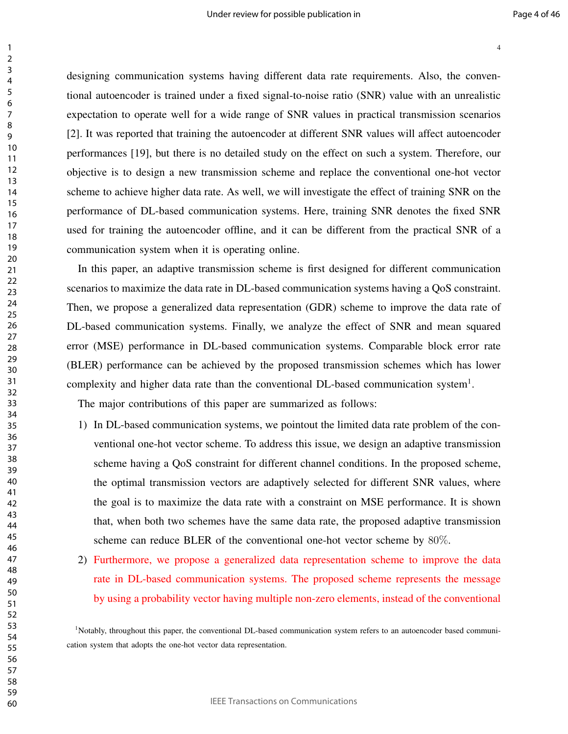designing communication systems having different data rate requirements. Also, the conventional autoencoder is trained under a fixed signal-to-noise ratio (SNR) value with an unrealistic expectation to operate well for a wide range of SNR values in practical transmission scenarios [2]. It was reported that training the autoencoder at different SNR values will affect autoencoder performances [19], but there is no detailed study on the effect on such a system. Therefore, our objective is to design a new transmission scheme and replace the conventional one-hot vector scheme to achieve higher data rate. As well, we will investigate the effect of training SNR on the performance of DL-based communication systems. Here, training SNR denotes the fixed SNR used for training the autoencoder offline, and it can be different from the practical SNR of a communication system when it is operating online.

In this paper, an adaptive transmission scheme is first designed for different communication scenarios to maximize the data rate in DL-based communication systems having a QoS constraint. Then, we propose a generalized data representation (GDR) scheme to improve the data rate of DL-based communication systems. Finally, we analyze the effect of SNR and mean squared error (MSE) performance in DL-based communication systems. Comparable block error rate (BLER) performance can be achieved by the proposed transmission schemes which has lower complexity and higher data rate than the conventional DL-based communication system<sup>1</sup>. The major contributions of this paper are summarized as follows:

- 1) In DL-based communication systems, we pointout the limited data rate problem of the conventional one-hot vector scheme. To address this issue, we design an adaptive transmission scheme having a QoS constraint for different channel conditions. In the proposed scheme, the optimal transmission vectors are adaptively selected for different SNR values, where the goal is to maximize the data rate with a constraint on MSE performance. It is shown that, when both two schemes have the same data rate, the proposed adaptive transmission scheme can reduce BLER of the conventional one-hot vector scheme by 80%.
- 2) Furthermore, we propose a generalized data representation scheme to improve the data rate in DL-based communication systems. The proposed scheme represents the message by using a probability vector having multiple non-zero elements, instead of the conventional

<sup>1</sup>Notably, throughout this paper, the conventional DL-based communication system refers to an autoencoder based communication system that adopts the one-hot vector data representation.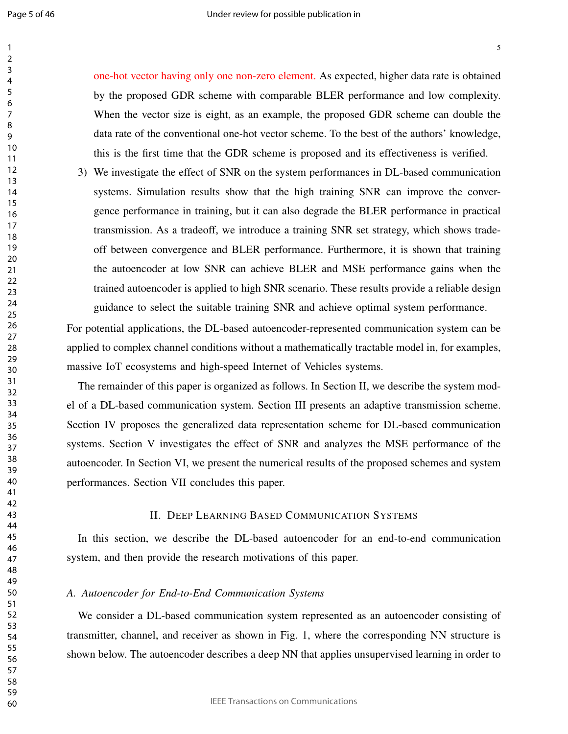one-hot vector having only one non-zero element. As expected, higher data rate is obtained by the proposed GDR scheme with comparable BLER performance and low complexity. When the vector size is eight, as an example, the proposed GDR scheme can double the data rate of the conventional one-hot vector scheme. To the best of the authors' knowledge, this is the first time that the GDR scheme is proposed and its effectiveness is verified.

3) We investigate the effect of SNR on the system performances in DL-based communication systems. Simulation results show that the high training SNR can improve the convergence performance in training, but it can also degrade the BLER performance in practical transmission. As a tradeoff, we introduce a training SNR set strategy, which shows tradeoff between convergence and BLER performance. Furthermore, it is shown that training the autoencoder at low SNR can achieve BLER and MSE performance gains when the trained autoencoder is applied to high SNR scenario. These results provide a reliable design guidance to select the suitable training SNR and achieve optimal system performance.

For potential applications, the DL-based autoencoder-represented communication system can be applied to complex channel conditions without a mathematically tractable model in, for examples, massive IoT ecosystems and high-speed Internet of Vehicles systems.

The remainder of this paper is organized as follows. In Section II, we describe the system model of a DL-based communication system. Section III presents an adaptive transmission scheme. Section IV proposes the generalized data representation scheme for DL-based communication systems. Section V investigates the effect of SNR and analyzes the MSE performance of the autoencoder. In Section VI, we present the numerical results of the proposed schemes and system performances. Section VII concludes this paper.

#### II. DEEP LEARNING BASED COMMUNICATION SYSTEMS

In this section, we describe the DL-based autoencoder for an end-to-end communication system, and then provide the research motivations of this paper.

#### *A. Autoencoder for End-to-End Communication Systems*

We consider a DL-based communication system represented as an autoencoder consisting of transmitter, channel, and receiver as shown in Fig. 1, where the corresponding NN structure is shown below. The autoencoder describes a deep NN that applies unsupervised learning in order to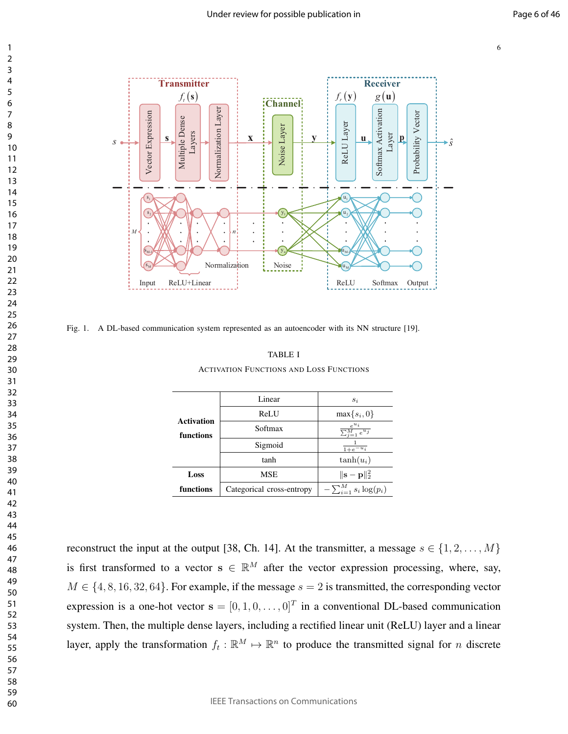

Fig. 1. A DL-based communication system represented as an autoencoder with its NN structure [19].

| <b>TABLE</b><br>I |  |
|-------------------|--|
|-------------------|--|

ACTIVATION FUNCTIONS AND LOSS FUNCTIONS

|                                | Linear                    | $S_i$                                  |
|--------------------------------|---------------------------|----------------------------------------|
|                                | ReLU                      | $\max\{s_i, 0\}$                       |
| <b>Activation</b><br>functions | Softmax                   | $\frac{e^{u_i}}{\sum_{j=1}^M e^{u_j}}$ |
|                                | Sigmoid                   | $\overline{1+e^{-u_i}}$                |
|                                | tanh                      | $tanh(u_i)$                            |
| Loss                           | <b>MSE</b>                | $\ {\bf s}-{\bf p}\ _2^2$              |
| functions                      | Categorical cross-entropy | $-\sum_{i=1}^{M} s_i \log(p_i)$        |

reconstruct the input at the output [38, Ch. 14]. At the transmitter, a message  $s \in \{1, 2, \ldots, M\}$ is first transformed to a vector  $\mathbf{s} \in \mathbb{R}^M$  after the vector expression processing, where, say,  $M \in \{4, 8, 16, 32, 64\}$ . For example, if the message  $s = 2$  is transmitted, the corresponding vector expression is a one-hot vector  $\mathbf{s} = [0, 1, 0, \dots, 0]^T$  in a conventional DL-based communication system. Then, the multiple dense layers, including a rectified linear unit (ReLU) layer and a linear layer, apply the transformation  $f_t : \mathbb{R}^M \mapsto \mathbb{R}^n$  to produce the transmitted signal for *n* discrete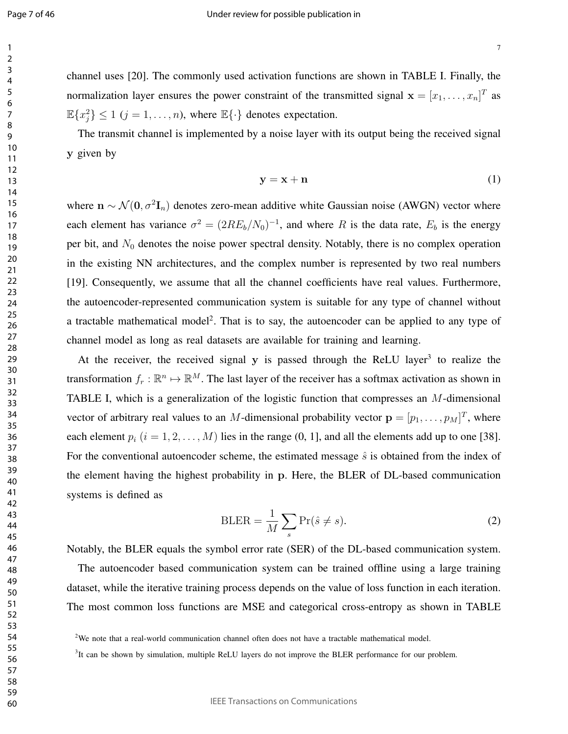Page 7 of 46

channel uses [20]. The commonly used activation functions are shown in TABLE I. Finally, the normalization layer ensures the power constraint of the transmitted signal  $\mathbf{x} = [x_1, \dots, x_n]^T$  as  $\mathbb{E}\{x_j^2\} \leq 1$  (*j* = 1, ..., *n*), where  $\mathbb{E}\{\cdot\}$  denotes expectation.

The transmit channel is implemented by a noise layer with its output being the received signal **y** given by

$$
y = x + n \tag{1}
$$

where  $\mathbf{n} \sim \mathcal{N}(\mathbf{0}, \sigma^2 \mathbf{I}_n)$  denotes zero-mean additive white Gaussian noise (AWGN) vector where each element has variance  $\sigma^2 = (2RE_b/N_0)^{-1}$ , and where R is the data rate,  $E_b$  is the energy per bit, and *N*<sup>0</sup> denotes the noise power spectral density. Notably, there is no complex operation in the existing NN architectures, and the complex number is represented by two real numbers [19]. Consequently, we assume that all the channel coefficients have real values. Furthermore, the autoencoder-represented communication system is suitable for any type of channel without a tractable mathematical model<sup>2</sup>. That is to say, the autoencoder can be applied to any type of channel model as long as real datasets are available for training and learning.

At the receiver, the received signal  $y$  is passed through the ReLU layer<sup>3</sup> to realize the transformation  $f_r : \mathbb{R}^n \to \mathbb{R}^M$ . The last layer of the receiver has a softmax activation as shown in TABLE I, which is a generalization of the logistic function that compresses an *M*-dimensional vector of arbitrary real values to an *M*-dimensional probability vector  $\mathbf{p} = [p_1, \dots, p_M]^T$ , where each element  $p_i$  ( $i = 1, 2, \ldots, M$ ) lies in the range (0, 1], and all the elements add up to one [38]. For the conventional autoencoder scheme, the estimated message  $\hat{s}$  is obtained from the index of the element having the highest probability in **p**. Here, the BLER of DL-based communication systems is defined as

$$
BLER = \frac{1}{M} \sum_{s} Pr(\hat{s} \neq s).
$$
 (2)

Notably, the BLER equals the symbol error rate (SER) of the DL-based communication system.

The autoencoder based communication system can be trained offline using a large training dataset, while the iterative training process depends on the value of loss function in each iteration. The most common loss functions are MSE and categorical cross-entropy as shown in TABLE

We note that a real-world communication channel often does not have a tractable mathematical model.

<sup>&</sup>lt;sup>3</sup>It can be shown by simulation, multiple ReLU layers do not improve the BLER performance for our problem.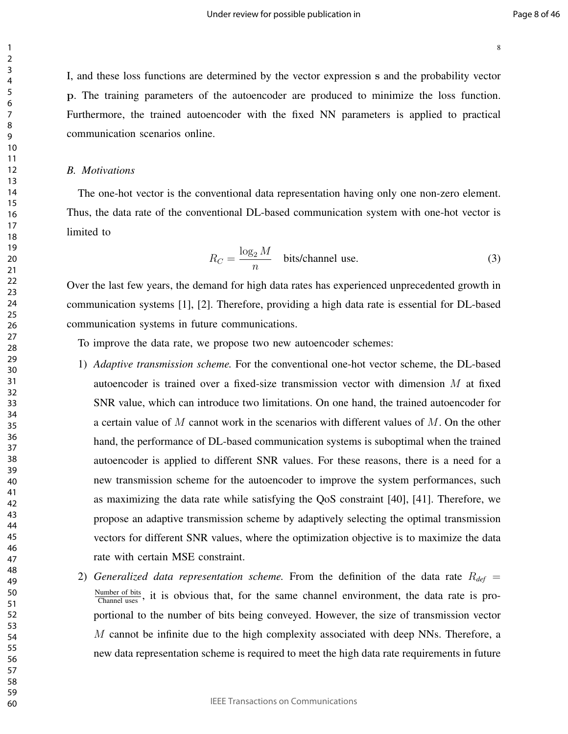I, and these loss functions are determined by the vector expression **s** and the probability vector **p**. The training parameters of the autoencoder are produced to minimize the loss function. Furthermore, the trained autoencoder with the fixed NN parameters is applied to practical communication scenarios online.

#### *B. Motivations*

The one-hot vector is the conventional data representation having only one non-zero element. Thus, the data rate of the conventional DL-based communication system with one-hot vector is limited to

$$
R_C = \frac{\log_2 M}{n}
$$
 bits/channel use. (3)

Over the last few years, the demand for high data rates has experienced unprecedented growth in communication systems [1], [2]. Therefore, providing a high data rate is essential for DL-based communication systems in future communications.

To improve the data rate, we propose two new autoencoder schemes:

- 1) *Adaptive transmission scheme.* For the conventional one-hot vector scheme, the DL-based autoencoder is trained over a fixed-size transmission vector with dimension *M* at fixed SNR value, which can introduce two limitations. On one hand, the trained autoencoder for a certain value of *M* cannot work in the scenarios with different values of *M*. On the other hand, the performance of DL-based communication systems is suboptimal when the trained autoencoder is applied to different SNR values. For these reasons, there is a need for a new transmission scheme for the autoencoder to improve the system performances, such as maximizing the data rate while satisfying the QoS constraint [40], [41]. Therefore, we propose an adaptive transmission scheme by adaptively selecting the optimal transmission vectors for different SNR values, where the optimization objective is to maximize the data rate with certain MSE constraint.
- 2) *Generalized data representation scheme.* From the definition of the data rate  $R_{def}$  = Number of bits  $\frac{\text{Number of bits}}{\text{Channel uses}}$ , it is obvious that, for the same channel environment, the data rate is proportional to the number of bits being conveyed. However, the size of transmission vector *M* cannot be infinite due to the high complexity associated with deep NNs. Therefore, a new data representation scheme is required to meet the high data rate requirements in future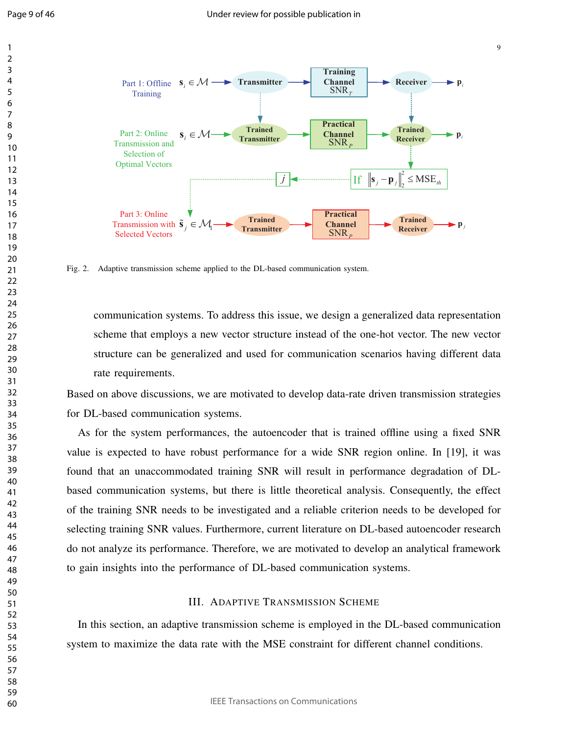

Fig. 2. Adaptive transmission scheme applied to the DL-based communication system.

communication systems. To address this issue, we design a generalized data representation scheme that employs a new vector structure instead of the one-hot vector. The new vector structure can be generalized and used for communication scenarios having different data rate requirements.

Based on above discussions, we are motivated to develop data-rate driven transmission strategies for DL-based communication systems.

As for the system performances, the autoencoder that is trained offline using a fixed SNR value is expected to have robust performance for a wide SNR region online. In [19], it was found that an unaccommodated training SNR will result in performance degradation of DLbased communication systems, but there is little theoretical analysis. Consequently, the effect of the training SNR needs to be investigated and a reliable criterion needs to be developed for selecting training SNR values. Furthermore, current literature on DL-based autoencoder research do not analyze its performance. Therefore, we are motivated to develop an analytical framework to gain insights into the performance of DL-based communication systems.

#### III. ADAPTIVE TRANSMISSION SCHEME

In this section, an adaptive transmission scheme is employed in the DL-based communication system to maximize the data rate with the MSE constraint for different channel conditions.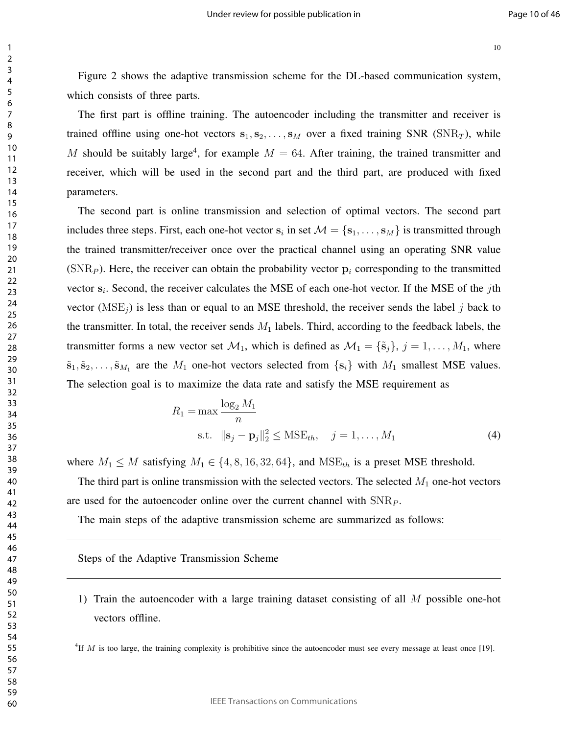Figure 2 shows the adaptive transmission scheme for the DL-based communication system, which consists of three parts.

The first part is offline training. The autoencoder including the transmitter and receiver is trained offline using one-hot vectors  $s_1, s_2, \ldots, s_M$  over a fixed training SNR (SNR<sub>T</sub>), while M should be suitably large<sup>4</sup>, for example  $M = 64$ . After training, the trained transmitter and receiver, which will be used in the second part and the third part, are produced with fixed parameters.

The second part is online transmission and selection of optimal vectors. The second part includes three steps. First, each one-hot vector  $s_i$  in set  $\mathcal{M} = \{s_1, \ldots, s_M\}$  is transmitted through the trained transmitter/receiver once over the practical channel using an operating SNR value  $(SNR<sub>P</sub>)$ . Here, the receiver can obtain the probability vector  $p<sub>i</sub>$  corresponding to the transmitted vector **s***<sup>i</sup>* . Second, the receiver calculates the MSE of each one-hot vector. If the MSE of the *j*th vector ( $MSE<sub>i</sub>$ ) is less than or equal to an MSE threshold, the receiver sends the label *j* back to the transmitter. In total, the receiver sends  $M_1$  labels. Third, according to the feedback labels, the transmitter forms a new vector set  $M_1$ , which is defined as  $M_1 = {\{\tilde{\bf{s}}_j\}}$ ,  $j = 1, \ldots, M_1$ , where  $\tilde{\mathbf{s}}_1, \tilde{\mathbf{s}}_2, \ldots, \tilde{\mathbf{s}}_{M_1}$  are the  $M_1$  one-hot vectors selected from  $\{\mathbf{s}_i\}$  with  $M_1$  smallest MSE values. The selection goal is to maximize the data rate and satisfy the MSE requirement as

$$
R_1 = \max \frac{\log_2 M_1}{n}
$$
  
s.t.  $||\mathbf{s}_j - \mathbf{p}_j||_2^2 \leq \text{MSE}_{th}$ ,  $j = 1, ..., M_1$  (4)

where  $M_1 \leq M$  satisfying  $M_1 \in \{4, 8, 16, 32, 64\}$ , and  $MSE_{th}$  is a preset MSE threshold.

The third part is online transmission with the selected vectors. The selected  $M_1$  one-hot vectors are used for the autoencoder online over the current channel with SNR*<sup>P</sup>* .

The main steps of the adaptive transmission scheme are summarized as follows:

Steps of the Adaptive Transmission Scheme

1) Train the autoencoder with a large training dataset consisting of all *M* possible one-hot vectors offline.

<sup>4</sup>If *M* is too large, the training complexity is prohibitive since the autoencoder must see every message at least once [19].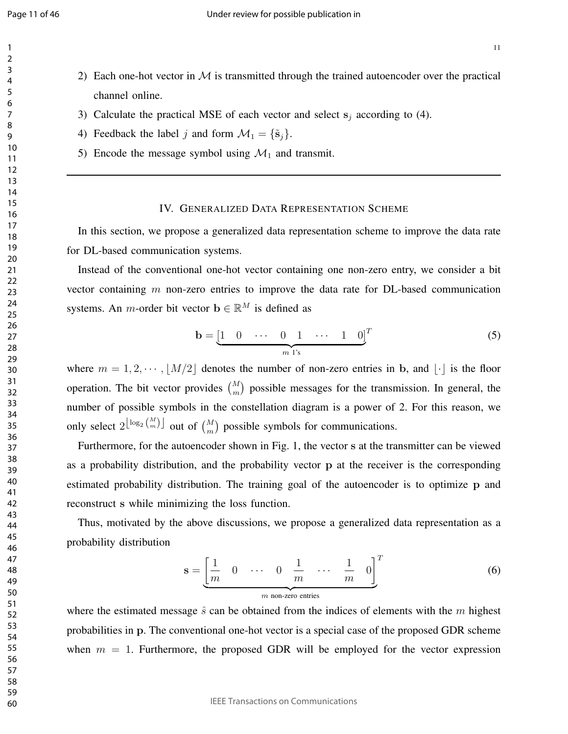- 2) Each one-hot vector in  $M$  is transmitted through the trained autoencoder over the practical channel online.
- 3) Calculate the practical MSE of each vector and select **s***<sup>j</sup>* according to (4).
- 4) Feedback the label *j* and form  $\mathcal{M}_1 = {\tilde{\mathbf{s}}_j}$ .
- 5) Encode the message symbol using  $\mathcal{M}_1$  and transmit.

#### IV. GENERALIZED DATA REPRESENTATION SCHEME

In this section, we propose a generalized data representation scheme to improve the data rate for DL-based communication systems.

Instead of the conventional one-hot vector containing one non-zero entry, we consider a bit vector containing *m* non-zero entries to improve the data rate for DL-based communication systems. An *m*-order bit vector  $\mathbf{b} \in \mathbb{R}^M$  is defined as

$$
\mathbf{b} = \underbrace{[1 \quad 0 \quad \cdots \quad 0 \quad 1 \quad \cdots \quad 1 \quad 0]}_{m \; 1 \text{'s}}^{T} \tag{5}
$$

where  $m = 1, 2, \cdots, \lfloor M/2 \rfloor$  denotes the number of non-zero entries in b, and  $\lfloor \cdot \rfloor$  is the floor operation. The bit vector provides  $\binom{M}{m}$  possible messages for the transmission. In general, the number of possible symbols in the constellation diagram is a power of 2. For this reason, we only select  $2^{\lfloor \log_2 \binom{M}{m} \rfloor}$  out of  $\binom{M}{m}$  possible symbols for communications.

Furthermore, for the autoencoder shown in Fig. 1, the vector **s** at the transmitter can be viewed as a probability distribution, and the probability vector **p** at the receiver is the corresponding estimated probability distribution. The training goal of the autoencoder is to optimize **p** and reconstruct **s** while minimizing the loss function.

Thus, motivated by the above discussions, we propose a generalized data representation as a probability distribution

$$
\mathbf{s} = \underbrace{\begin{bmatrix} 1 & 0 & \cdots & 0 & \frac{1}{m} & \cdots & \frac{1}{m} & 0 \end{bmatrix}^T}_{m \text{ non-zero entries}} \tag{6}
$$

where the estimated message  $\hat{s}$  can be obtained from the indices of elements with the  $m$  highest probabilities in **p**. The conventional one-hot vector is a special case of the proposed GDR scheme when  $m = 1$ . Furthermore, the proposed GDR will be employed for the vector expression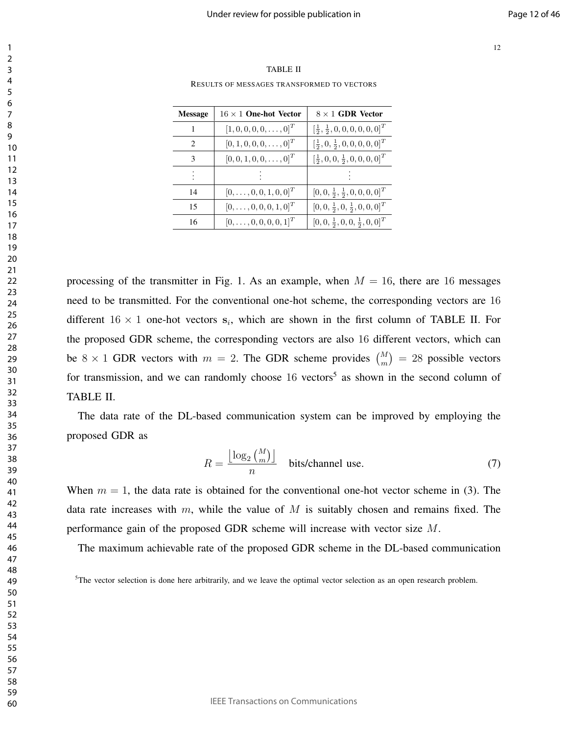| 1                       |  |
|-------------------------|--|
| $\overline{\mathbf{c}}$ |  |
| 3                       |  |
| 4                       |  |
| 5                       |  |
|                         |  |
| 6                       |  |
|                         |  |
| 8                       |  |
| 9                       |  |
| 10                      |  |
| 11                      |  |
| $\overline{12}$         |  |
| 3<br>1                  |  |
|                         |  |
| 4<br>1                  |  |
| 15                      |  |
| 16                      |  |
| 1                       |  |
| 18                      |  |
| 19                      |  |
| 20                      |  |
| $\overline{21}$         |  |
|                         |  |
| $^{22}$                 |  |
| 23                      |  |
| $\frac{24}{5}$          |  |
| 25                      |  |
| 26                      |  |
| 27                      |  |
| 28                      |  |
| 29                      |  |
|                         |  |
| 30                      |  |
| $\overline{\textbf{3}}$ |  |
| $\overline{32}$         |  |
| 33                      |  |
| 34                      |  |
| 35                      |  |
| 36                      |  |
| 37                      |  |
| 88                      |  |
|                         |  |
| 39                      |  |
| 40                      |  |
| 41                      |  |
| 42                      |  |
| 43                      |  |
| 44                      |  |
| 45                      |  |
| 46                      |  |
|                         |  |
| 47                      |  |
| 48                      |  |
| 49                      |  |
| 50                      |  |
| 51                      |  |
| 52                      |  |
| 53                      |  |
| 54                      |  |
| 55                      |  |
|                         |  |
| 56                      |  |
| 57                      |  |
| 58                      |  |
| 59                      |  |

TABLE II RESULTS OF MESSAGES TRANSFORMED TO VECTORS

| <b>Message</b> | $16 \times 1$ One-hot Vector   | $8 \times 1$ GDR Vector                          |
|----------------|--------------------------------|--------------------------------------------------|
| 1              | $[1, 0, 0, 0, 0, \ldots, 0]^T$ | $[\frac{1}{2}, \frac{1}{2}, 0, 0, 0, 0, 0, 0]^T$ |
| 2              | $[0, 1, 0, 0, 0, \ldots, 0]^T$ | $[\frac{1}{2}, 0, \frac{1}{2}, 0, 0, 0, 0, 0]^T$ |
| 3              | $[0, 0, 1, 0, 0, \ldots, 0]^T$ | $[\frac{1}{2}, 0, 0, \frac{1}{2}, 0, 0, 0, 0]^T$ |
|                |                                |                                                  |
| 14             | $[0,\ldots,0,0,1,0,0]^T$       | $[0, 0, \frac{1}{2}, \frac{1}{2}, 0, 0, 0, 0]^T$ |
| 15             | $[0,\ldots,0,0,0,1,0]^T$       | $[0, 0, \frac{1}{2}, 0, \frac{1}{2}, 0, 0, 0]^T$ |
| 16             | $[0,\ldots,0,0,0,0,1]^T$       | $[0, 0, \frac{1}{2}, 0, 0, \frac{1}{2}, 0, 0]^T$ |

processing of the transmitter in Fig. 1. As an example, when  $M = 16$ , there are 16 messages need to be transmitted. For the conventional one-hot scheme, the corresponding vectors are 16 different  $16 \times 1$  one-hot vectors  $s_i$ , which are shown in the first column of TABLE II. For the proposed GDR scheme, the corresponding vectors are also 16 different vectors, which can be 8  $\times$  1 GDR vectors with  $m = 2$ . The GDR scheme provides  $\binom{M}{m} = 28$  possible vectors for transmission, and we can randomly choose  $16$  vectors<sup>5</sup> as shown in the second column of TABLE II.

The data rate of the DL-based communication system can be improved by employing the proposed GDR as

$$
R = \frac{\lfloor \log_2 {M \choose m} \rfloor}{n} \quad \text{bits/channel use.} \tag{7}
$$

When  $m = 1$ , the data rate is obtained for the conventional one-hot vector scheme in (3). The data rate increases with *m*, while the value of *M* is suitably chosen and remains fixed. The performance gain of the proposed GDR scheme will increase with vector size *M*.

The maximum achievable rate of the proposed GDR scheme in the DL-based communication

<sup>5</sup>The vector selection is done here arbitrarily, and we leave the optimal vector selection as an open research problem.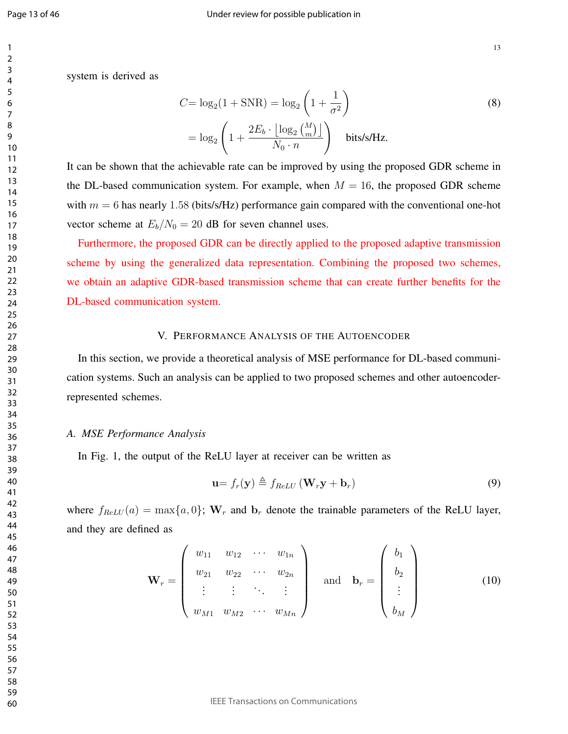13

system is derived as

$$
C = \log_2(1 + \text{SNR}) = \log_2\left(1 + \frac{1}{\sigma^2}\right)
$$
  
=  $\log_2\left(1 + \frac{2E_b \cdot \lfloor \log_2\binom{M}{m} \rfloor}{N_0 \cdot n}\right)$  bits/s/Hz. (8)

It can be shown that the achievable rate can be improved by using the proposed GDR scheme in the DL-based communication system. For example, when  $M = 16$ , the proposed GDR scheme with  $m = 6$  has nearly 1.58 (bits/s/Hz) performance gain compared with the conventional one-hot vector scheme at  $E_b/N_0 = 20$  dB for seven channel uses.

Furthermore, the proposed GDR can be directly applied to the proposed adaptive transmission scheme by using the generalized data representation. Combining the proposed two schemes, we obtain an adaptive GDR-based transmission scheme that can create further benefits for the DL-based communication system.

#### V. PERFORMANCE ANALYSIS OF THE AUTOENCODER

In this section, we provide a theoretical analysis of MSE performance for DL-based communication systems. Such an analysis can be applied to two proposed schemes and other autoencoderrepresented schemes.

#### *A. MSE Performance Analysis*

In Fig. 1, the output of the ReLU layer at receiver can be written as

$$
\mathbf{u} = f_r(\mathbf{y}) \triangleq f_{ReLU} \left( \mathbf{W}_r \mathbf{y} + \mathbf{b}_r \right)
$$
(9)

where  $f_{ReLU}(a) = \max\{a, 0\}$ ;  $W_r$  and  $b_r$  denote the trainable parameters of the ReLU layer, and they are defined as

$$
\mathbf{W}_{r} = \begin{pmatrix} w_{11} & w_{12} & \cdots & w_{1n} \\ w_{21} & w_{22} & \cdots & w_{2n} \\ \vdots & \vdots & \ddots & \vdots \\ w_{M1} & w_{M2} & \cdots & w_{Mn} \end{pmatrix} \text{ and } \mathbf{b}_{r} = \begin{pmatrix} b_{1} \\ b_{2} \\ \vdots \\ b_{M} \end{pmatrix}
$$
 (10)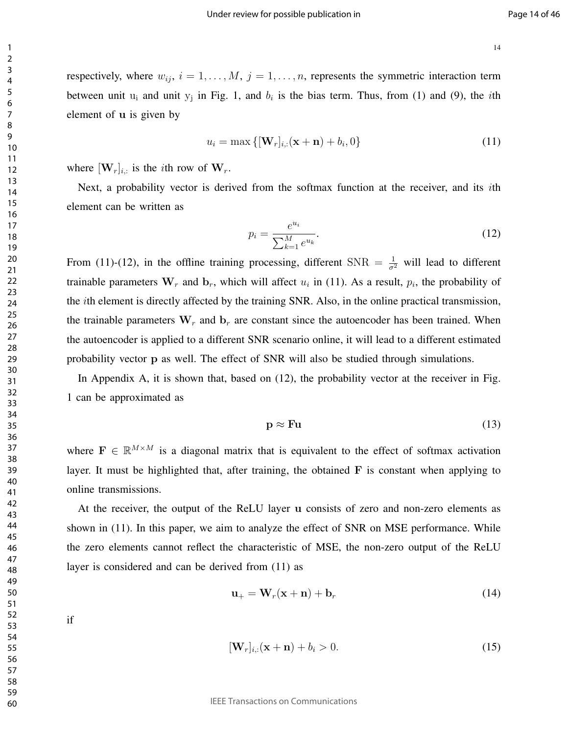respectively, where  $w_{ij}$ ,  $i = 1, \ldots, M$ ,  $j = 1, \ldots, n$ , represents the symmetric interaction term between unit  $u_i$  and unit  $y_j$  in Fig. 1, and  $b_i$  is the bias term. Thus, from (1) and (9), the *i*th element of **u** is given by

$$
u_i = \max\left\{ \left[\mathbf{W}_r\right]_{i,:}(\mathbf{x} + \mathbf{n}) + b_i, 0 \right\} \tag{11}
$$

where  $[\mathbf{W}_r]_{i,:}$  is the *i*th row of  $\mathbf{W}_r$ .

Next, a probability vector is derived from the softmax function at the receiver, and its *i*th element can be written as

$$
p_i = \frac{e^{u_i}}{\sum_{k=1}^{M} e^{u_k}}.
$$
\n(12)

From (11)-(12), in the offline training processing, different  $SNR = \frac{1}{\sigma^2}$  will lead to different trainable parameters  $W_r$  and  $b_r$ , which will affect  $u_i$  in (11). As a result,  $p_i$ , the probability of the *i*th element is directly affected by the training SNR. Also, in the online practical transmission, the trainable parameters  $W_r$  and  $b_r$  are constant since the autoencoder has been trained. When the autoencoder is applied to a different SNR scenario online, it will lead to a different estimated probability vector **p** as well. The effect of SNR will also be studied through simulations.

In Appendix A, it is shown that, based on  $(12)$ , the probability vector at the receiver in Fig. 1 can be approximated as

$$
\mathbf{p} \approx \mathbf{F} \mathbf{u} \tag{13}
$$

where  $\mathbf{F} \in \mathbb{R}^{M \times M}$  is a diagonal matrix that is equivalent to the effect of softmax activation layer. It must be highlighted that, after training, the obtained **F** is constant when applying to online transmissions.

At the receiver, the output of the ReLU layer **u** consists of zero and non-zero elements as shown in (11). In this paper, we aim to analyze the effect of SNR on MSE performance. While the zero elements cannot reflect the characteristic of MSE, the non-zero output of the ReLU layer is considered and can be derived from (11) as

$$
\mathbf{u}_{+} = \mathbf{W}_r(\mathbf{x} + \mathbf{n}) + \mathbf{b}_r \tag{14}
$$

if

$$
[\mathbf{W}_r]_{i,:}(\mathbf{x} + \mathbf{n}) + b_i > 0. \tag{15}
$$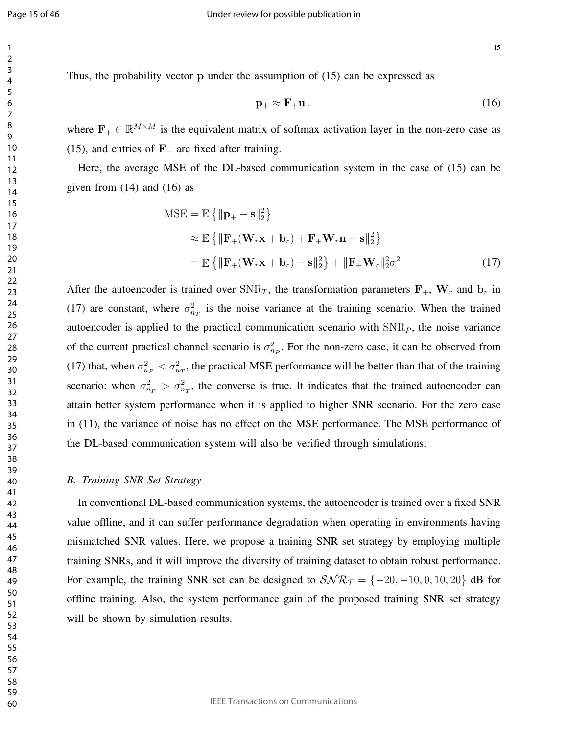Thus, the probability vector **p** under the assumption of (15) can be expressed as

$$
\mathbf{p}_{+} \approx \mathbf{F}_{+} \mathbf{u}_{+} \tag{16}
$$

where  $\mathbf{F}_+ \in \mathbb{R}^{M \times M}$  is the equivalent matrix of softmax activation layer in the non-zero case as (15), and entries of  $\mathbf{F}_{+}$  are fixed after training.

Here, the average MSE of the DL-based communication system in the case of (15) can be given from  $(14)$  and  $(16)$  as

$$
MSE = \mathbb{E} \{ ||\mathbf{p}_{+} - \mathbf{s}||_{2}^{2} \}
$$
  
\n
$$
\approx \mathbb{E} \{ ||\mathbf{F}_{+}(\mathbf{W}_{r}\mathbf{x} + \mathbf{b}_{r}) + \mathbf{F}_{+}\mathbf{W}_{r}\mathbf{n} - \mathbf{s}||_{2}^{2} \}
$$
  
\n
$$
= \mathbb{E} \{ ||\mathbf{F}_{+}(\mathbf{W}_{r}\mathbf{x} + \mathbf{b}_{r}) - \mathbf{s}||_{2}^{2} \} + ||\mathbf{F}_{+}\mathbf{W}_{r}||_{2}^{2}\sigma^{2}.
$$
\n(17)

After the autoencoder is trained over  $SNR_T$ , the transformation parameters  $\mathbf{F}_+$ ,  $\mathbf{W}_r$  and  $\mathbf{b}_r$  in (17) are constant, where  $\sigma_{n_T}^2$  is the noise variance at the training scenario. When the trained autoencoder is applied to the practical communication scenario with SNR<sub>P</sub>, the noise variance of the current practical channel scenario is  $\sigma_{np}^2$ . For the non-zero case, it can be observed from (17) that, when  $\sigma_{np}^2 < \sigma_{n_T}^2$ , the practical MSE performance will be better than that of the training scenario; when  $\sigma_{n_P}^2 > \sigma_{n_T}^2$ , the converse is true. It indicates that the trained autoencoder can attain better system performance when it is applied to higher SNR scenario. For the zero case in (11), the variance of noise has no effect on the MSE performance. The MSE performance of the DL-based communication system will also be verified through simulations.

#### *B. Training SNR Set Strategy*

In conventional DL-based communication systems, the autoencoder is trained over a fixed SNR value offline, and it can suffer performance degradation when operating in environments having mismatched SNR values. Here, we propose a training SNR set strategy by employing multiple training SNRs, and it will improve the diversity of training dataset to obtain robust performance. For example, the training SNR set can be designed to  $S\mathcal{N}\mathcal{R}_{\mathcal{T}} = \{-20, -10, 0, 10, 20\}$  dB for offline training. Also, the system performance gain of the proposed training SNR set strategy will be shown by simulation results.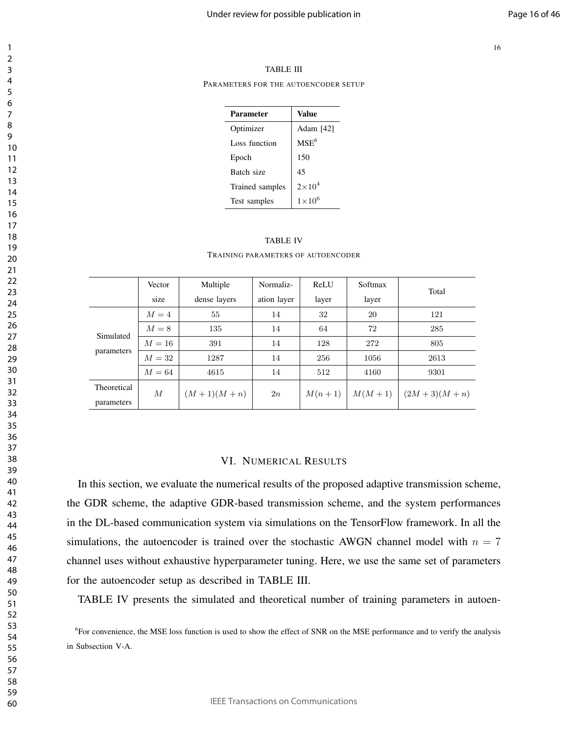| <b>TABLE III</b>                     |  |  |  |  |  |  |  |
|--------------------------------------|--|--|--|--|--|--|--|
| PARAMETERS FOR THE AUTOENCODER SETUP |  |  |  |  |  |  |  |

| <b>Parameter</b> | Value            |
|------------------|------------------|
| Optimizer        | Adam $[42]$      |
| Loss function    | MSE <sup>6</sup> |
| Epoch            | 150              |
| Batch size       | 45               |
| Trained samples  | $2\times10^4$    |
| Test samples     | $1\times10^6$    |

|--|--|

TRAINING PARAMETERS OF AUTOENCODER

|             | Vector           | Multiple     | Normaliz- | ReLU     | Softmax | Total                  |  |
|-------------|------------------|--------------|-----------|----------|---------|------------------------|--|
|             | size             | dense layers |           | layer    | layer   |                        |  |
|             | $M=4$            | 55           | 14        | 32       | 20      | 121                    |  |
| Simulated   | $M=8$            | 135          | 14        | 64       | 72      | 285                    |  |
|             | $M=16$           | 391          | 14        | 128      | 272     | 805                    |  |
| parameters  | $M=32$           | 1287         | 14        | 256      | 1056    | 2613                   |  |
|             | $M=64$           | 4615         | 14        | 512      | 4160    | 9301                   |  |
| Theoretical | $\boldsymbol{M}$ | $(M+1)(M+n)$ | 2n        | $M(n+1)$ |         | $M(M+1)$ $(2M+3)(M+n)$ |  |
| parameters  |                  |              |           |          |         |                        |  |

#### VI. NUMERICAL RESULTS

In this section, we evaluate the numerical results of the proposed adaptive transmission scheme, the GDR scheme, the adaptive GDR-based transmission scheme, and the system performances in the DL-based communication system via simulations on the TensorFlow framework. In all the simulations, the autoencoder is trained over the stochastic AWGN channel model with  $n = 7$ channel uses without exhaustive hyperparameter tuning. Here, we use the same set of parameters for the autoencoder setup as described in TABLE III.

TABLE IV presents the simulated and theoretical number of training parameters in autoen-

<sup>6</sup>For convenience, the MSE loss function is used to show the effect of SNR on the MSE performance and to verify the analysis in Subsection V-A.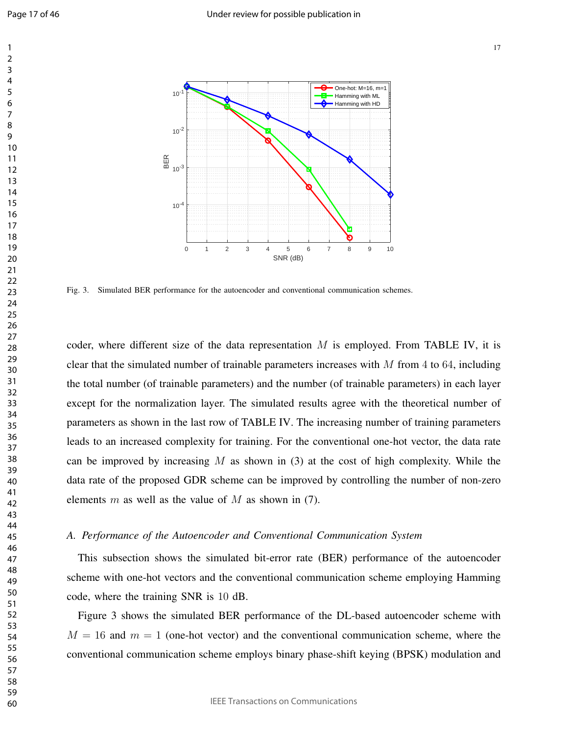

Fig. 3. Simulated BER performance for the autoencoder and conventional communication schemes.

coder, where different size of the data representation *M* is employed. From TABLE IV, it is clear that the simulated number of trainable parameters increases with *M* from 4 to 64, including the total number (of trainable parameters) and the number (of trainable parameters) in each layer except for the normalization layer. The simulated results agree with the theoretical number of parameters as shown in the last row of TABLE IV. The increasing number of training parameters leads to an increased complexity for training. For the conventional one-hot vector, the data rate can be improved by increasing *M* as shown in (3) at the cost of high complexity. While the data rate of the proposed GDR scheme can be improved by controlling the number of non-zero elements *m* as well as the value of *M* as shown in (7).

#### *A. Performance of the Autoencoder and Conventional Communication System*

This subsection shows the simulated bit-error rate (BER) performance of the autoencoder scheme with one-hot vectors and the conventional communication scheme employing Hamming code, where the training SNR is 10 dB.

Figure 3 shows the simulated BER performance of the DL-based autoencoder scheme with  $M = 16$  and  $m = 1$  (one-hot vector) and the conventional communication scheme, where the conventional communication scheme employs binary phase-shift keying (BPSK) modulation and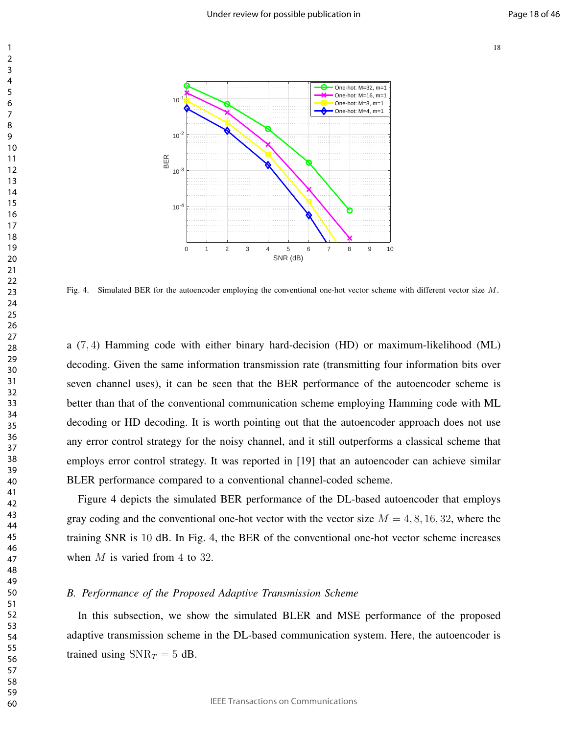

Fig. 4. Simulated BER for the autoencoder employing the conventional one-hot vector scheme with different vector size *M*.

a (7*,* 4) Hamming code with either binary hard-decision (HD) or maximum-likelihood (ML) decoding. Given the same information transmission rate (transmitting four information bits over seven channel uses), it can be seen that the BER performance of the autoencoder scheme is better than that of the conventional communication scheme employing Hamming code with ML decoding or HD decoding. It is worth pointing out that the autoencoder approach does not use any error control strategy for the noisy channel, and it still outperforms a classical scheme that employs error control strategy. It was reported in [19] that an autoencoder can achieve similar BLER performance compared to a conventional channel-coded scheme.

Figure 4 depicts the simulated BER performance of the DL-based autoencoder that employs gray coding and the conventional one-hot vector with the vector size  $M = 4, 8, 16, 32$ , where the training SNR is 10 dB. In Fig. 4, the BER of the conventional one-hot vector scheme increases when *M* is varied from 4 to 32.

#### *B. Performance of the Proposed Adaptive Transmission Scheme*

In this subsection, we show the simulated BLER and MSE performance of the proposed adaptive transmission scheme in the DL-based communication system. Here, the autoencoder is trained using  $SNR_T = 5$  dB.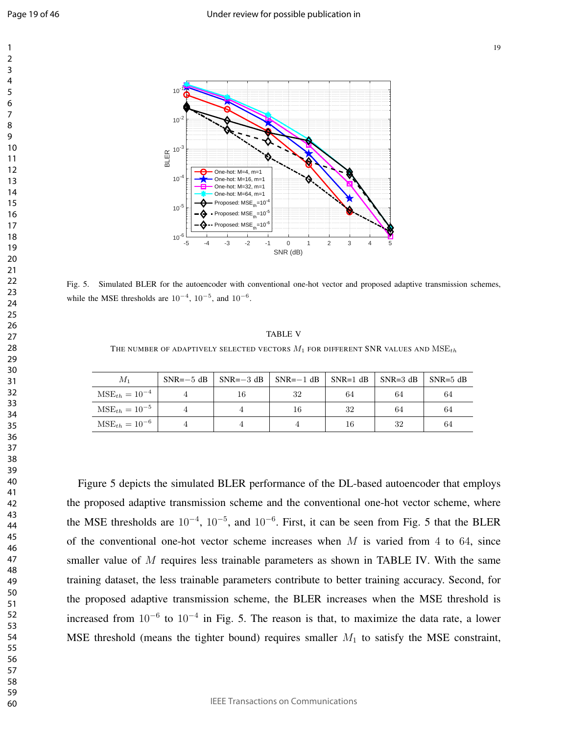

Fig. 5. Simulated BLER for the autoencoder with conventional one-hot vector and proposed adaptive transmission schemes, while the MSE thresholds are 10*−*<sup>4</sup> , 10*−*<sup>5</sup> , and 10*−*<sup>6</sup> .

#### TABLE V

THE NUMBER OF ADAPTIVELY SELECTED VECTORS *M*<sup>1</sup> FOR DIFFERENT SNR VALUES AND MSE*th*

| $M_1$                | $SNR = -5 dB$ | $SNR=-3$ dB $\parallel$ SNR=-1 dB |    | $SNR=1$ dB | $SNR=3$ dB | $\overline{\text{SNR}} = 5 \text{ dB}$ |
|----------------------|---------------|-----------------------------------|----|------------|------------|----------------------------------------|
| $MSE_{th} = 10^{-4}$ |               | 16                                | 32 | 64         | 64         | 64                                     |
| $MSE_{th} = 10^{-5}$ |               |                                   | 16 | 32         | 64         | 64                                     |
| $MSE_{th} = 10^{-6}$ |               |                                   |    | 16         | 32         | 64                                     |

Figure 5 depicts the simulated BLER performance of the DL-based autoencoder that employs the proposed adaptive transmission scheme and the conventional one-hot vector scheme, where the MSE thresholds are 10*−*<sup>4</sup> , 10*−*<sup>5</sup> , and 10*−*<sup>6</sup> . First, it can be seen from Fig. 5 that the BLER of the conventional one-hot vector scheme increases when *M* is varied from 4 to 64, since smaller value of *M* requires less trainable parameters as shown in TABLE IV. With the same training dataset, the less trainable parameters contribute to better training accuracy. Second, for the proposed adaptive transmission scheme, the BLER increases when the MSE threshold is increased from 10*−*<sup>6</sup> to 10*−*<sup>4</sup> in Fig. 5. The reason is that, to maximize the data rate, a lower MSE threshold (means the tighter bound) requires smaller  $M_1$  to satisfy the MSE constraint,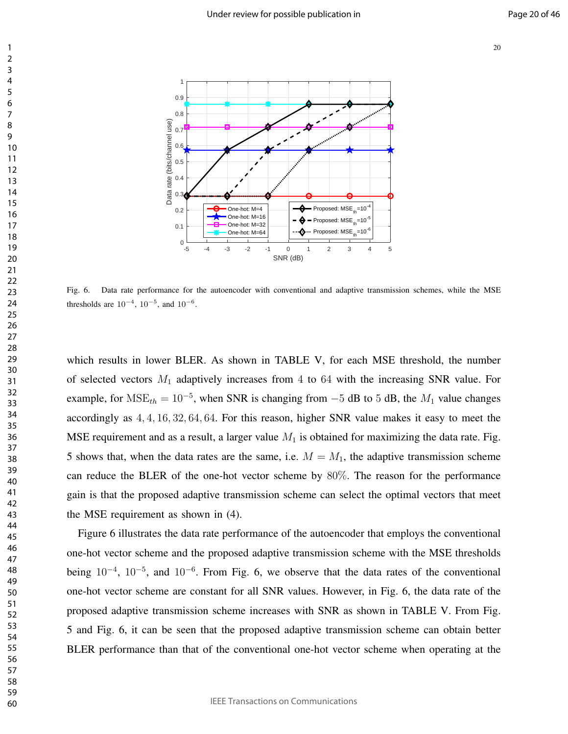



Fig. 6. Data rate performance for the autoencoder with conventional and adaptive transmission schemes, while the MSE thresholds are 10*−*<sup>4</sup> , 10*−*<sup>5</sup> , and 10*−*<sup>6</sup> .

which results in lower BLER. As shown in TABLE V, for each MSE threshold, the number of selected vectors *M*<sup>1</sup> adaptively increases from 4 to 64 with the increasing SNR value. For example, for MSE*th* = 10*−*<sup>5</sup> , when SNR is changing from *−*5 dB to 5 dB, the *M*<sup>1</sup> value changes accordingly as 4*,* 4*,* 16*,* 32*,* 64*,* 64. For this reason, higher SNR value makes it easy to meet the MSE requirement and as a result, a larger value  $M_1$  is obtained for maximizing the data rate. Fig. 5 shows that, when the data rates are the same, i.e.  $M = M_1$ , the adaptive transmission scheme can reduce the BLER of the one-hot vector scheme by 80%. The reason for the performance gain is that the proposed adaptive transmission scheme can select the optimal vectors that meet the MSE requirement as shown in (4).

Figure 6 illustrates the data rate performance of the autoencoder that employs the conventional one-hot vector scheme and the proposed adaptive transmission scheme with the MSE thresholds being 10*−*<sup>4</sup> , 10*−*<sup>5</sup> , and 10*−*<sup>6</sup> . From Fig. 6, we observe that the data rates of the conventional one-hot vector scheme are constant for all SNR values. However, in Fig. 6, the data rate of the proposed adaptive transmission scheme increases with SNR as shown in TABLE V. From Fig. 5 and Fig. 6, it can be seen that the proposed adaptive transmission scheme can obtain better BLER performance than that of the conventional one-hot vector scheme when operating at the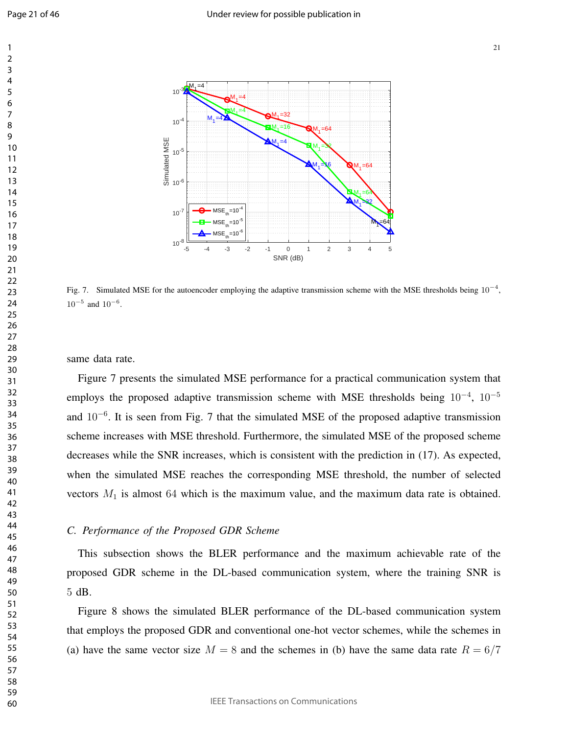

Fig. 7. Simulated MSE for the autoencoder employing the adaptive transmission scheme with the MSE thresholds being 10*−*<sup>4</sup> , 10*−*<sup>5</sup> and 10*−*<sup>6</sup> .

same data rate.

Figure 7 presents the simulated MSE performance for a practical communication system that employs the proposed adaptive transmission scheme with MSE thresholds being 10*−*<sup>4</sup> , 10*−*<sup>5</sup> and 10*−*<sup>6</sup> . It is seen from Fig. 7 that the simulated MSE of the proposed adaptive transmission scheme increases with MSE threshold. Furthermore, the simulated MSE of the proposed scheme decreases while the SNR increases, which is consistent with the prediction in (17). As expected, when the simulated MSE reaches the corresponding MSE threshold, the number of selected vectors *M*<sup>1</sup> is almost 64 which is the maximum value, and the maximum data rate is obtained.

#### *C. Performance of the Proposed GDR Scheme*

This subsection shows the BLER performance and the maximum achievable rate of the proposed GDR scheme in the DL-based communication system, where the training SNR is 5 dB.

Figure 8 shows the simulated BLER performance of the DL-based communication system that employs the proposed GDR and conventional one-hot vector schemes, while the schemes in (a) have the same vector size  $M = 8$  and the schemes in (b) have the same data rate  $R = 6/7$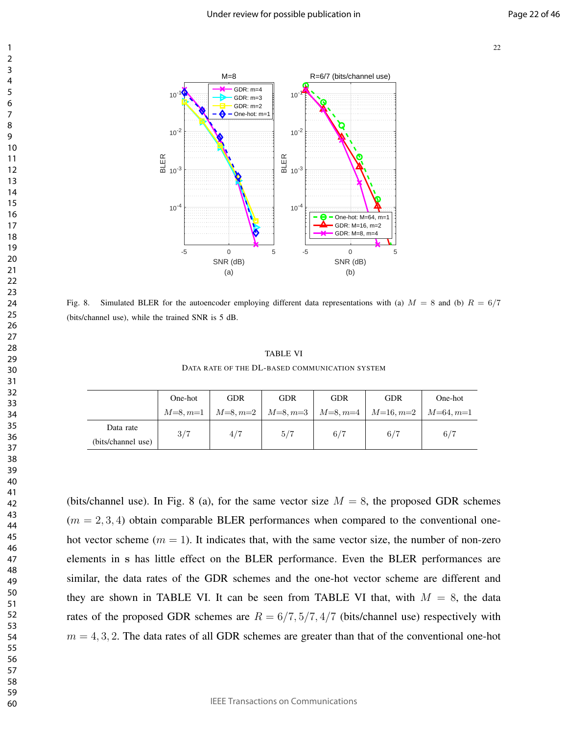

Fig. 8. Simulated BLER for the autoencoder employing different data representations with (a)  $M = 8$  and (b)  $R = 6/7$ (bits/channel use), while the trained SNR is 5 dB.

#### TABLE VI

DATA RATE OF THE DL-BASED COMMUNICATION SYSTEM

|                    | One-hot        | <b>GDR</b>     | <b>GDR</b> | <b>GDR</b> | <b>GDR</b>                            | One-hot         |
|--------------------|----------------|----------------|------------|------------|---------------------------------------|-----------------|
|                    | $M = 8, m = 1$ | $M = 8, m = 2$ |            |            | $M=8, m=3$   $M=8, m=4$   $M=16, m=2$ | $M = 64, m = 1$ |
| Data rate          | 3/7            | 4/7            | 5/7        | 6/7        | 6/7                                   | 6/7             |
| (bits/channel use) |                |                |            |            |                                       |                 |

(bits/channel use). In Fig. 8 (a), for the same vector size  $M = 8$ , the proposed GDR schemes  $(m = 2, 3, 4)$  obtain comparable BLER performances when compared to the conventional onehot vector scheme  $(m = 1)$ . It indicates that, with the same vector size, the number of non-zero elements in **s** has little effect on the BLER performance. Even the BLER performances are similar, the data rates of the GDR schemes and the one-hot vector scheme are different and they are shown in TABLE VI. It can be seen from TABLE VI that, with  $M = 8$ , the data rates of the proposed GDR schemes are  $R = 6/7, 5/7, 4/7$  (bits/channel use) respectively with  $m = 4, 3, 2$ . The data rates of all GDR schemes are greater than that of the conventional one-hot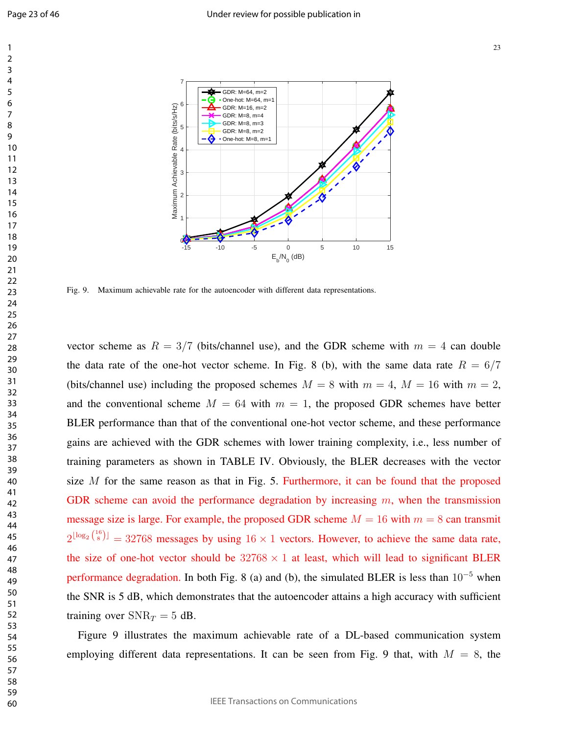

Fig. 9. Maximum achievable rate for the autoencoder with different data representations.

vector scheme as  $R = 3/7$  (bits/channel use), and the GDR scheme with  $m = 4$  can double the data rate of the one-hot vector scheme. In Fig. 8 (b), with the same data rate  $R = 6/7$ (bits/channel use) including the proposed schemes  $M = 8$  with  $m = 4$ ,  $M = 16$  with  $m = 2$ , and the conventional scheme  $M = 64$  with  $m = 1$ , the proposed GDR schemes have better BLER performance than that of the conventional one-hot vector scheme, and these performance gains are achieved with the GDR schemes with lower training complexity, i.e., less number of training parameters as shown in TABLE IV. Obviously, the BLER decreases with the vector size *M* for the same reason as that in Fig. 5. Furthermore, it can be found that the proposed GDR scheme can avoid the performance degradation by increasing *m*, when the transmission message size is large. For example, the proposed GDR scheme  $M = 16$  with  $m = 8$  can transmit  $2^{\lfloor \log_2 {\binom{16}{8}} \rfloor} = 32768$  messages by using  $16 \times 1$  vectors. However, to achieve the same data rate, the size of one-hot vector should be  $32768 \times 1$  at least, which will lead to significant BLER performance degradation. In both Fig. 8 (a) and (b), the simulated BLER is less than 10*−*<sup>5</sup> when the SNR is 5 dB, which demonstrates that the autoencoder attains a high accuracy with sufficient training over  $SNR_T = 5$  dB.

Figure 9 illustrates the maximum achievable rate of a DL-based communication system employing different data representations. It can be seen from Fig. 9 that, with  $M = 8$ , the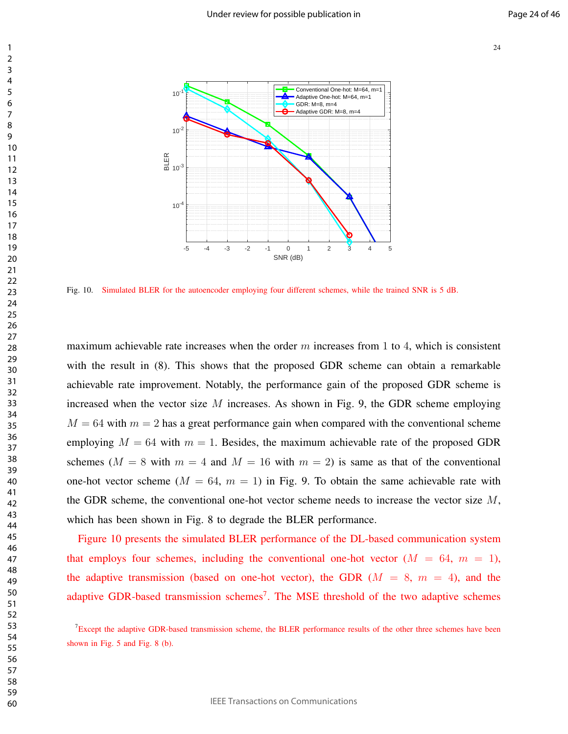



Fig. 10. Simulated BLER for the autoencoder employing four different schemes, while the trained SNR is 5 dB.

maximum achievable rate increases when the order *m* increases from 1 to 4, which is consistent with the result in (8). This shows that the proposed GDR scheme can obtain a remarkable achievable rate improvement. Notably, the performance gain of the proposed GDR scheme is increased when the vector size *M* increases. As shown in Fig. 9, the GDR scheme employing  $M = 64$  with  $m = 2$  has a great performance gain when compared with the conventional scheme employing  $M = 64$  with  $m = 1$ . Besides, the maximum achievable rate of the proposed GDR schemes ( $M = 8$  with  $m = 4$  and  $M = 16$  with  $m = 2$ ) is same as that of the conventional one-hot vector scheme ( $M = 64$ ,  $m = 1$ ) in Fig. 9. To obtain the same achievable rate with the GDR scheme, the conventional one-hot vector scheme needs to increase the vector size *M*, which has been shown in Fig. 8 to degrade the BLER performance.

Figure 10 presents the simulated BLER performance of the DL-based communication system that employs four schemes, including the conventional one-hot vector  $(M = 64, m = 1)$ , the adaptive transmission (based on one-hot vector), the GDR  $(M = 8, m = 4)$ , and the adaptive GDR-based transmission schemes<sup>7</sup>. The MSE threshold of the two adaptive schemes

<sup>&</sup>lt;sup>7</sup>Except the adaptive GDR-based transmission scheme, the BLER performance results of the other three schemes have been shown in Fig. 5 and Fig. 8 (b).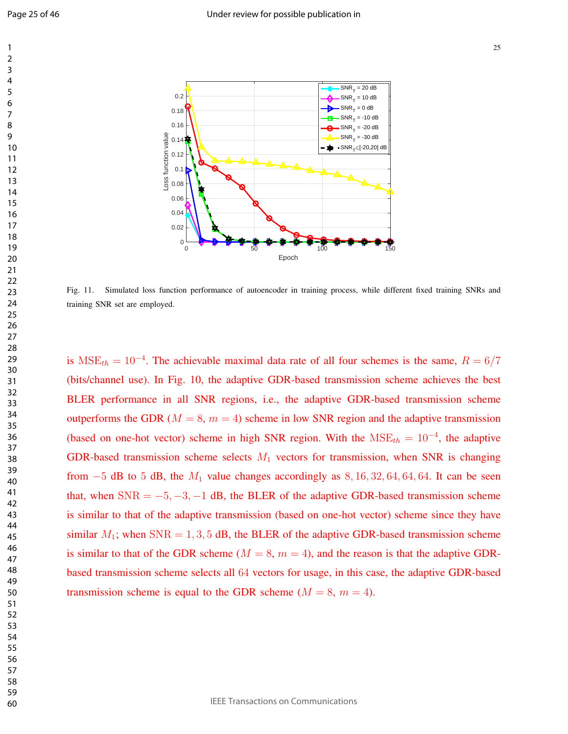

Fig. 11. Simulated loss function performance of autoencoder in training process, while different fixed training SNRs and training SNR set are employed.

is  $MSE<sub>th</sub> = 10<sup>-4</sup>$ . The achievable maximal data rate of all four schemes is the same,  $R = 6/7$ (bits/channel use). In Fig. 10, the adaptive GDR-based transmission scheme achieves the best BLER performance in all SNR regions, i.e., the adaptive GDR-based transmission scheme outperforms the GDR ( $M = 8$ ,  $m = 4$ ) scheme in low SNR region and the adaptive transmission (based on one-hot vector) scheme in high SNR region. With the  $MSE<sub>th</sub> = 10<sup>-4</sup>$ , the adaptive GDR-based transmission scheme selects *M*<sup>1</sup> vectors for transmission, when SNR is changing from *−*5 dB to 5 dB, the *M*<sup>1</sup> value changes accordingly as 8*,* 16*,* 32*,* 64*,* 64*,* 64. It can be seen that, when  $SNR = -5, -3, -1$  dB, the BLER of the adaptive GDR-based transmission scheme is similar to that of the adaptive transmission (based on one-hot vector) scheme since they have similar  $M_1$ ; when  $SNR = 1, 3, 5$  dB, the BLER of the adaptive GDR-based transmission scheme is similar to that of the GDR scheme ( $M = 8$ ,  $m = 4$ ), and the reason is that the adaptive GDRbased transmission scheme selects all 64 vectors for usage, in this case, the adaptive GDR-based transmission scheme is equal to the GDR scheme ( $M = 8$ ,  $m = 4$ ).

IEEE Transactions on Communications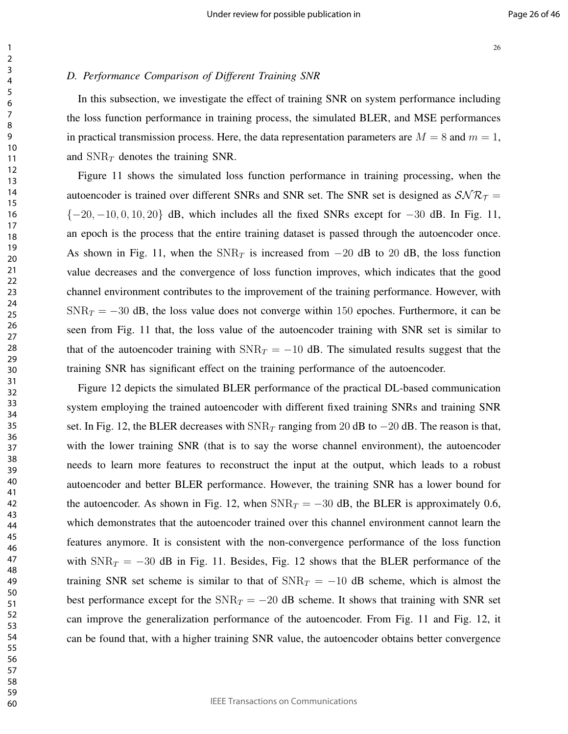#### *D. Performance Comparison of Different Training SNR*

In this subsection, we investigate the effect of training SNR on system performance including the loss function performance in training process, the simulated BLER, and MSE performances in practical transmission process. Here, the data representation parameters are  $M = 8$  and  $m = 1$ , and SNR*<sup>T</sup>* denotes the training SNR.

Figure 11 shows the simulated loss function performance in training processing, when the autoencoder is trained over different SNRs and SNR set. The SNR set is designed as  $S\mathcal{N}\mathcal{R}_T$  = *{−*20*, −*10*,* 0*,* 10*,* 20*}* dB, which includes all the fixed SNRs except for *−*30 dB. In Fig. 11, an epoch is the process that the entire training dataset is passed through the autoencoder once. As shown in Fig. 11, when the SNR*<sup>T</sup>* is increased from *−*20 dB to 20 dB, the loss function value decreases and the convergence of loss function improves, which indicates that the good channel environment contributes to the improvement of the training performance. However, with  $SNR_T = -30$  dB, the loss value does not converge within 150 epoches. Furthermore, it can be seen from Fig. 11 that, the loss value of the autoencoder training with SNR set is similar to that of the autoencoder training with  $SNR_T = -10$  dB. The simulated results suggest that the training SNR has significant effect on the training performance of the autoencoder.

Figure 12 depicts the simulated BLER performance of the practical DL-based communication system employing the trained autoencoder with different fixed training SNRs and training SNR set. In Fig. 12, the BLER decreases with SNR*<sup>T</sup>* ranging from 20 dB to *−*20 dB. The reason is that, with the lower training SNR (that is to say the worse channel environment), the autoencoder needs to learn more features to reconstruct the input at the output, which leads to a robust autoencoder and better BLER performance. However, the training SNR has a lower bound for the autoencoder. As shown in Fig. 12, when  $SNR<sub>T</sub> = -30$  dB, the BLER is approximately 0.6, which demonstrates that the autoencoder trained over this channel environment cannot learn the features anymore. It is consistent with the non-convergence performance of the loss function with  $SNR_T = -30$  dB in Fig. 11. Besides, Fig. 12 shows that the BLER performance of the training SNR set scheme is similar to that of  $SNR<sub>T</sub> = -10$  dB scheme, which is almost the best performance except for the  $SNR_T = -20$  dB scheme. It shows that training with SNR set can improve the generalization performance of the autoencoder. From Fig. 11 and Fig. 12, it can be found that, with a higher training SNR value, the autoencoder obtains better convergence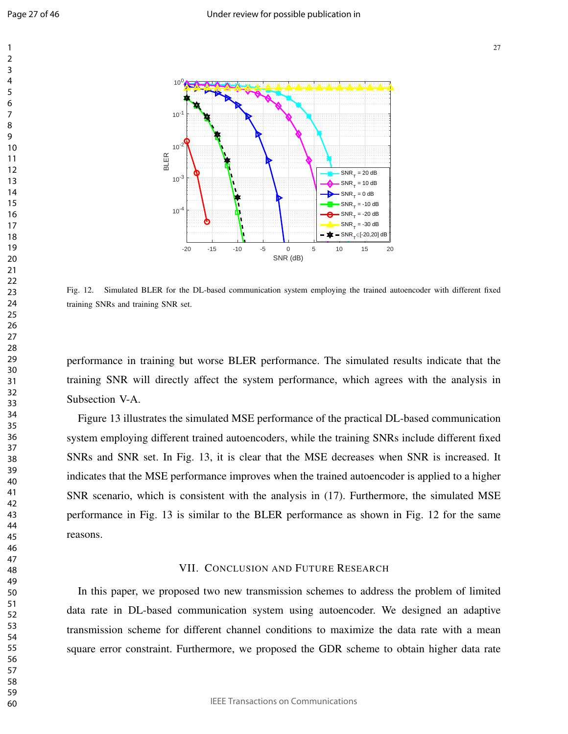

Fig. 12. Simulated BLER for the DL-based communication system employing the trained autoencoder with different fixed training SNRs and training SNR set.

performance in training but worse BLER performance. The simulated results indicate that the training SNR will directly affect the system performance, which agrees with the analysis in Subsection V-A.

Figure 13 illustrates the simulated MSE performance of the practical DL-based communication system employing different trained autoencoders, while the training SNRs include different fixed SNRs and SNR set. In Fig. 13, it is clear that the MSE decreases when SNR is increased. It indicates that the MSE performance improves when the trained autoencoder is applied to a higher SNR scenario, which is consistent with the analysis in (17). Furthermore, the simulated MSE performance in Fig. 13 is similar to the BLER performance as shown in Fig. 12 for the same reasons.

#### VII. CONCLUSION AND FUTURE RESEARCH

In this paper, we proposed two new transmission schemes to address the problem of limited data rate in DL-based communication system using autoencoder. We designed an adaptive transmission scheme for different channel conditions to maximize the data rate with a mean square error constraint. Furthermore, we proposed the GDR scheme to obtain higher data rate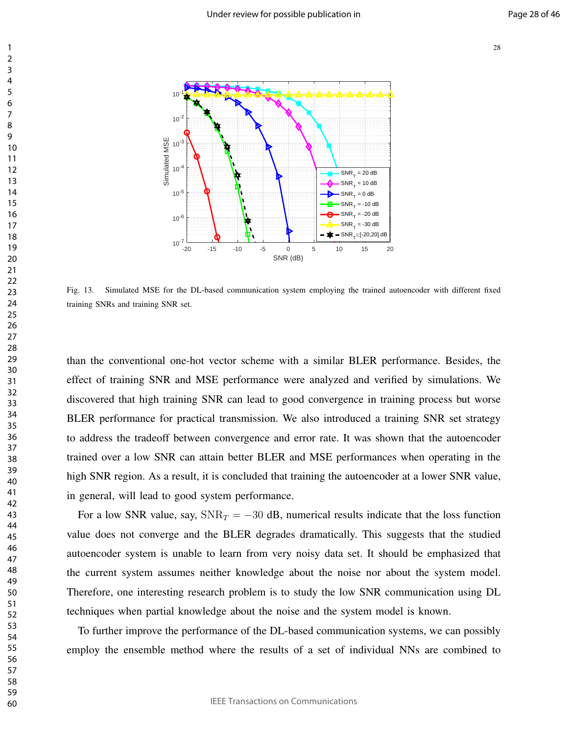

Fig. 13. Simulated MSE for the DL-based communication system employing the trained autoencoder with different fixed training SNRs and training SNR set.

than the conventional one-hot vector scheme with a similar BLER performance. Besides, the effect of training SNR and MSE performance were analyzed and verified by simulations. We discovered that high training SNR can lead to good convergence in training process but worse BLER performance for practical transmission. We also introduced a training SNR set strategy to address the tradeoff between convergence and error rate. It was shown that the autoencoder trained over a low SNR can attain better BLER and MSE performances when operating in the high SNR region. As a result, it is concluded that training the autoencoder at a lower SNR value, in general, will lead to good system performance.

For a low SNR value, say,  $SNR_T = -30$  dB, numerical results indicate that the loss function value does not converge and the BLER degrades dramatically. This suggests that the studied autoencoder system is unable to learn from very noisy data set. It should be emphasized that the current system assumes neither knowledge about the noise nor about the system model. Therefore, one interesting research problem is to study the low SNR communication using DL techniques when partial knowledge about the noise and the system model is known.

To further improve the performance of the DL-based communication systems, we can possibly employ the ensemble method where the results of a set of individual NNs are combined to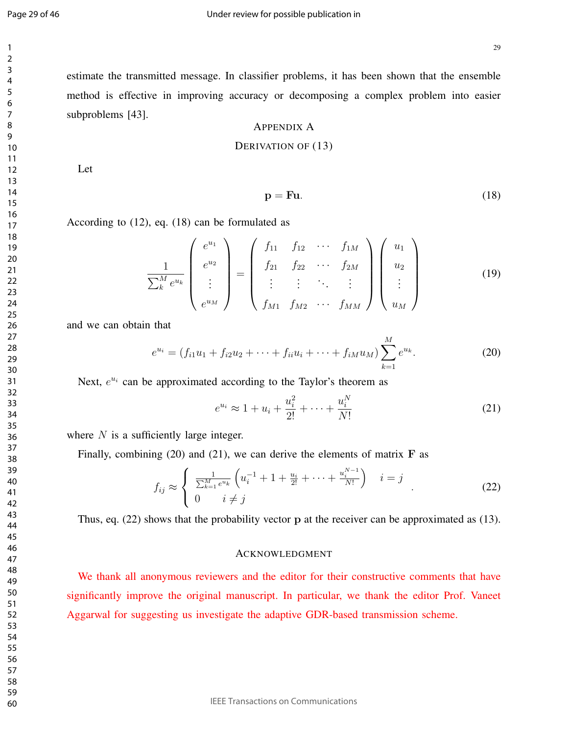Page 29 of 46

29

estimate the transmitted message. In classifier problems, it has been shown that the ensemble method is effective in improving accuracy or decomposing a complex problem into easier subproblems [43].

#### APPENDIX A

#### DERIVATION OF  $(13)$

Let

 $p = Fu.$  (18)

According to (12), eq. (18) can be formulated as

$$
\frac{1}{\sum_{k}^{M} e^{u_{k}}} \begin{pmatrix} e^{u_{1}} \\ e^{u_{2}} \\ \vdots \\ e^{u_{M}} \end{pmatrix} = \begin{pmatrix} f_{11} & f_{12} & \cdots & f_{1M} \\ f_{21} & f_{22} & \cdots & f_{2M} \\ \vdots & \vdots & \ddots & \vdots \\ f_{M1} & f_{M2} & \cdots & f_{MM} \end{pmatrix} \begin{pmatrix} u_{1} \\ u_{2} \\ \vdots \\ u_{M} \end{pmatrix}
$$
(19)

and we can obtain that

$$
e^{u_i} = (f_{i1}u_1 + f_{i2}u_2 + \dots + f_{ii}u_i + \dots + f_{iM}u_M) \sum_{k=1}^{M} e^{u_k}.
$$
 (20)

Next,  $e^{u_i}$  can be approximated according to the Taylor's theorem as

$$
e^{u_i} \approx 1 + u_i + \frac{u_i^2}{2!} + \dots + \frac{u_i^N}{N!}
$$
 (21)

where *N* is a sufficiently large integer.

Finally, combining (20) and (21), we can derive the elements of matrix **F** as

$$
f_{ij} \approx \begin{cases} \frac{1}{\sum_{k=1}^{M} e^{u_k}} \left( u_i^{-1} + 1 + \frac{u_i}{2!} + \dots + \frac{u_i^{N-1}}{N!} \right) & i = j \\ 0 & i \neq j \end{cases} \tag{22}
$$

Thus, eq. (22) shows that the probability vector **p** at the receiver can be approximated as (13).

#### ACKNOWLEDGMENT

We thank all anonymous reviewers and the editor for their constructive comments that have significantly improve the original manuscript. In particular, we thank the editor Prof. Vaneet Aggarwal for suggesting us investigate the adaptive GDR-based transmission scheme.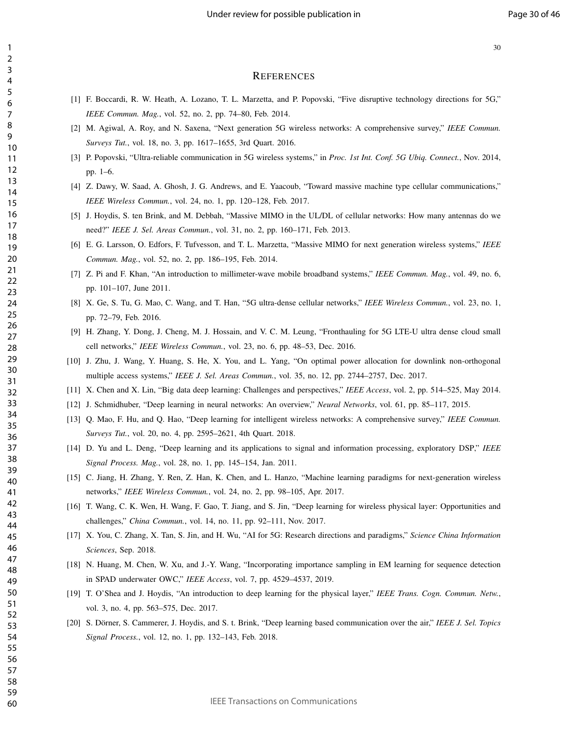#### **REFERENCES**

- [1] F. Boccardi, R. W. Heath, A. Lozano, T. L. Marzetta, and P. Popovski, "Five disruptive technology directions for 5G," *IEEE Commun. Mag.*, vol. 52, no. 2, pp. 74–80, Feb. 2014.
- [2] M. Agiwal, A. Roy, and N. Saxena, "Next generation 5G wireless networks: A comprehensive survey," *IEEE Commun. Surveys Tut.*, vol. 18, no. 3, pp. 1617–1655, 3rd Quart. 2016.
- [3] P. Popovski, "Ultra-reliable communication in 5G wireless systems," in *Proc. 1st Int. Conf. 5G Ubiq. Connect.*, Nov. 2014, pp. 1–6.
- [4] Z. Dawy, W. Saad, A. Ghosh, J. G. Andrews, and E. Yaacoub, "Toward massive machine type cellular communications," *IEEE Wireless Commun.*, vol. 24, no. 1, pp. 120–128, Feb. 2017.
- [5] J. Hoydis, S. ten Brink, and M. Debbah, "Massive MIMO in the UL/DL of cellular networks: How many antennas do we need?" *IEEE J. Sel. Areas Commun.*, vol. 31, no. 2, pp. 160–171, Feb. 2013.
- [6] E. G. Larsson, O. Edfors, F. Tufvesson, and T. L. Marzetta, "Massive MIMO for next generation wireless systems," *IEEE Commun. Mag.*, vol. 52, no. 2, pp. 186–195, Feb. 2014.
- [7] Z. Pi and F. Khan, "An introduction to millimeter-wave mobile broadband systems," *IEEE Commun. Mag.*, vol. 49, no. 6, pp. 101–107, June 2011.
- [8] X. Ge, S. Tu, G. Mao, C. Wang, and T. Han, "5G ultra-dense cellular networks," *IEEE Wireless Commun.*, vol. 23, no. 1, pp. 72–79, Feb. 2016.
- [9] H. Zhang, Y. Dong, J. Cheng, M. J. Hossain, and V. C. M. Leung, "Fronthauling for 5G LTE-U ultra dense cloud small cell networks," *IEEE Wireless Commun.*, vol. 23, no. 6, pp. 48–53, Dec. 2016.
- [10] J. Zhu, J. Wang, Y. Huang, S. He, X. You, and L. Yang, "On optimal power allocation for downlink non-orthogonal multiple access systems," *IEEE J. Sel. Areas Commun.*, vol. 35, no. 12, pp. 2744–2757, Dec. 2017.
- [11] X. Chen and X. Lin, "Big data deep learning: Challenges and perspectives," *IEEE Access*, vol. 2, pp. 514–525, May 2014.
- [12] J. Schmidhuber, "Deep learning in neural networks: An overview," *Neural Networks*, vol. 61, pp. 85–117, 2015.
- [13] Q. Mao, F. Hu, and Q. Hao, "Deep learning for intelligent wireless networks: A comprehensive survey," *IEEE Commun. Surveys Tut.*, vol. 20, no. 4, pp. 2595–2621, 4th Quart. 2018.
- [14] D. Yu and L. Deng, "Deep learning and its applications to signal and information processing, exploratory DSP," *IEEE Signal Process. Mag.*, vol. 28, no. 1, pp. 145–154, Jan. 2011.
- [15] C. Jiang, H. Zhang, Y. Ren, Z. Han, K. Chen, and L. Hanzo, "Machine learning paradigms for next-generation wireless networks," *IEEE Wireless Commun.*, vol. 24, no. 2, pp. 98–105, Apr. 2017.
- [16] T. Wang, C. K. Wen, H. Wang, F. Gao, T. Jiang, and S. Jin, "Deep learning for wireless physical layer: Opportunities and challenges," *China Commun.*, vol. 14, no. 11, pp. 92–111, Nov. 2017.
- [17] X. You, C. Zhang, X. Tan, S. Jin, and H. Wu, "AI for 5G: Research directions and paradigms," *Science China Information Sciences*, Sep. 2018.
- [18] N. Huang, M. Chen, W. Xu, and J.-Y. Wang, "Incorporating importance sampling in EM learning for sequence detection in SPAD underwater OWC," *IEEE Access*, vol. 7, pp. 4529–4537, 2019.
- [19] T. O'Shea and J. Hoydis, "An introduction to deep learning for the physical layer," *IEEE Trans. Cogn. Commun. Netw.*, vol. 3, no. 4, pp. 563–575, Dec. 2017.
- [20] S. Dörner, S. Cammerer, J. Hoydis, and S. t. Brink, "Deep learning based communication over the air," *IEEE J. Sel. Topics Signal Process.*, vol. 12, no. 1, pp. 132–143, Feb. 2018.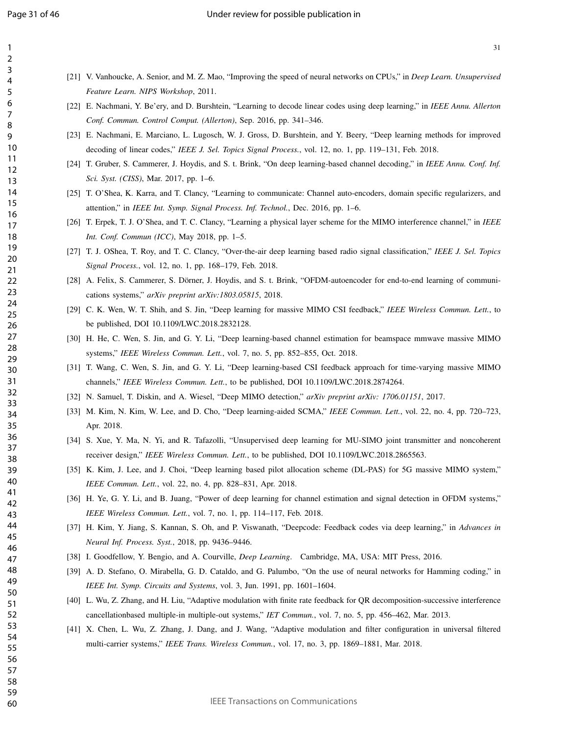|                                     | [21] V. Vanhoucke, A. Senior, and M. Z. Mao, "Improving the speed of neural networks on CPUs," in Deep Learn. Unsupervised |  |
|-------------------------------------|----------------------------------------------------------------------------------------------------------------------------|--|
| Feature Learn. NIPS Workshop, 2011. |                                                                                                                            |  |

- [22] E. Nachmani, Y. Be'ery, and D. Burshtein, "Learning to decode linear codes using deep learning," in *IEEE Annu. Allerton Conf. Commun. Control Comput. (Allerton)*, Sep. 2016, pp. 341–346.
- [23] E. Nachmani, E. Marciano, L. Lugosch, W. J. Gross, D. Burshtein, and Y. Beery, "Deep learning methods for improved decoding of linear codes," *IEEE J. Sel. Topics Signal Process.*, vol. 12, no. 1, pp. 119–131, Feb. 2018.
- [24] T. Gruber, S. Cammerer, J. Hoydis, and S. t. Brink, "On deep learning-based channel decoding," in *IEEE Annu. Conf. Inf. Sci. Syst. (CISS)*, Mar. 2017, pp. 1–6.
- [25] T. O'Shea, K. Karra, and T. Clancy, "Learning to communicate: Channel auto-encoders, domain specific regularizers, and attention," in *IEEE Int. Symp. Signal Process. Inf. Technol.*, Dec. 2016, pp. 1–6.
- [26] T. Erpek, T. J. O'Shea, and T. C. Clancy, "Learning a physical layer scheme for the MIMO interference channel," in *IEEE Int. Conf. Commun (ICC)*, May 2018, pp. 1–5.
- [27] T. J. OShea, T. Roy, and T. C. Clancy, "Over-the-air deep learning based radio signal classification," *IEEE J. Sel. Topics Signal Process.*, vol. 12, no. 1, pp. 168–179, Feb. 2018.
- [28] A. Felix, S. Cammerer, S. Dörner, J. Hoydis, and S. t. Brink, "OFDM-autoencoder for end-to-end learning of communications systems," *arXiv preprint arXiv:1803.05815*, 2018.
- [29] C. K. Wen, W. T. Shih, and S. Jin, "Deep learning for massive MIMO CSI feedback," *IEEE Wireless Commun. Lett.*, to be published, DOI 10.1109/LWC.2018.2832128.
- [30] H. He, C. Wen, S. Jin, and G. Y. Li, "Deep learning-based channel estimation for beamspace mmwave massive MIMO systems," *IEEE Wireless Commun. Lett.*, vol. 7, no. 5, pp. 852–855, Oct. 2018.
- [31] T. Wang, C. Wen, S. Jin, and G. Y. Li, "Deep learning-based CSI feedback approach for time-varying massive MIMO channels," *IEEE Wireless Commun. Lett.*, to be published, DOI 10.1109/LWC.2018.2874264.
- [32] N. Samuel, T. Diskin, and A. Wiesel, "Deep MIMO detection," *arXiv preprint arXiv: 1706.01151*, 2017.
- [33] M. Kim, N. Kim, W. Lee, and D. Cho, "Deep learning-aided SCMA," *IEEE Commun. Lett.*, vol. 22, no. 4, pp. 720–723, Apr. 2018.
- [34] S. Xue, Y. Ma, N. Yi, and R. Tafazolli, "Unsupervised deep learning for MU-SIMO joint transmitter and noncoherent receiver design," *IEEE Wireless Commun. Lett.*, to be published, DOI 10.1109/LWC.2018.2865563.
- [35] K. Kim, J. Lee, and J. Choi, "Deep learning based pilot allocation scheme (DL-PAS) for 5G massive MIMO system," *IEEE Commun. Lett.*, vol. 22, no. 4, pp. 828–831, Apr. 2018.
- [36] H. Ye, G. Y. Li, and B. Juang, "Power of deep learning for channel estimation and signal detection in OFDM systems," *IEEE Wireless Commun. Lett.*, vol. 7, no. 1, pp. 114–117, Feb. 2018.
- [37] H. Kim, Y. Jiang, S. Kannan, S. Oh, and P. Viswanath, "Deepcode: Feedback codes via deep learning," in *Advances in Neural Inf. Process. Syst.*, 2018, pp. 9436–9446.
- [38] I. Goodfellow, Y. Bengio, and A. Courville, *Deep Learning*. Cambridge, MA, USA: MIT Press, 2016.
- [39] A. D. Stefano, O. Mirabella, G. D. Cataldo, and G. Palumbo, "On the use of neural networks for Hamming coding," in *IEEE Int. Symp. Circuits and Systems*, vol. 3, Jun. 1991, pp. 1601–1604.
- [40] L. Wu, Z. Zhang, and H. Liu, "Adaptive modulation with finite rate feedback for QR decomposition-successive interference cancellationbased multiple-in multiple-out systems," *IET Commun.*, vol. 7, no. 5, pp. 456–462, Mar. 2013.
- [41] X. Chen, L. Wu, Z. Zhang, J. Dang, and J. Wang, "Adaptive modulation and filter configuration in universal filtered multi-carrier systems," *IEEE Trans. Wireless Commun.*, vol. 17, no. 3, pp. 1869–1881, Mar. 2018.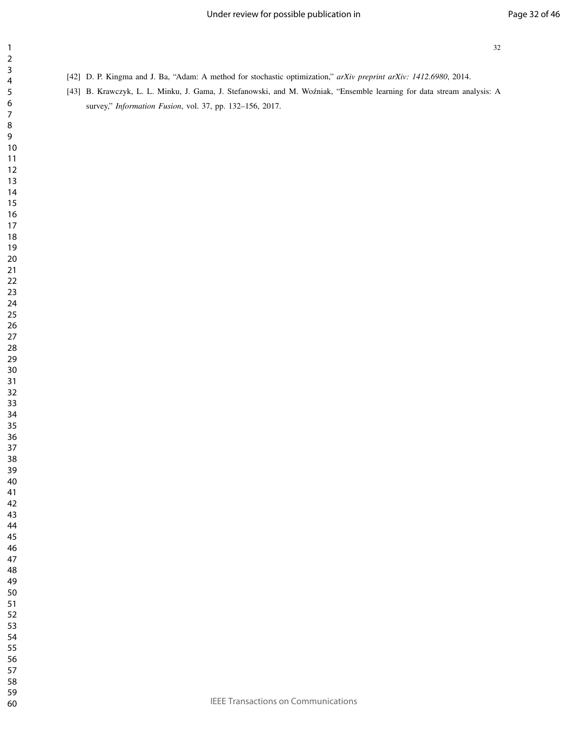- [42] D. P. Kingma and J. Ba, "Adam: A method for stochastic optimization," *arXiv preprint arXiv: 1412.6980*, 2014.
- [43] B. Krawczyk, L. L. Minku, J. Gama, J. Stefanowski, and M. Woźniak, "Ensemble learning for data stream analysis: A survey," *Information Fusion*, vol. 37, pp. 132–156, 2017.

- 
- 
- 
- 
-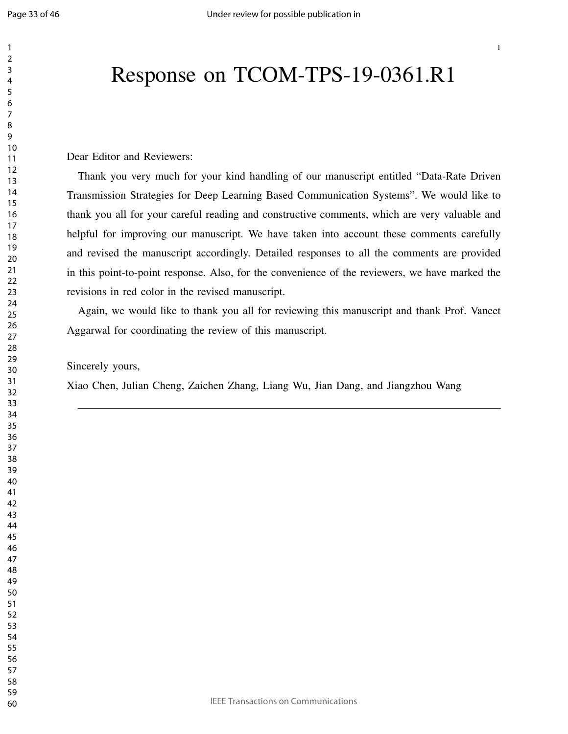# Response on TCOM-TPS-19-0361.R1

Dear Editor and Reviewers:

Thank you very much for your kind handling of our manuscript entitled "Data-Rate Driven Transmission Strategies for Deep Learning Based Communication Systems". We would like to thank you all for your careful reading and constructive comments, which are very valuable and helpful for improving our manuscript. We have taken into account these comments carefully and revised the manuscript accordingly. Detailed responses to all the comments are provided in this point-to-point response. Also, for the convenience of the reviewers, we have marked the revisions in red color in the revised manuscript.

Again, we would like to thank you all for reviewing this manuscript and thank Prof. Vaneet Aggarwal for coordinating the review of this manuscript.

Sincerely yours,

Xiao Chen, Julian Cheng, Zaichen Zhang, Liang Wu, Jian Dang, and Jiangzhou Wang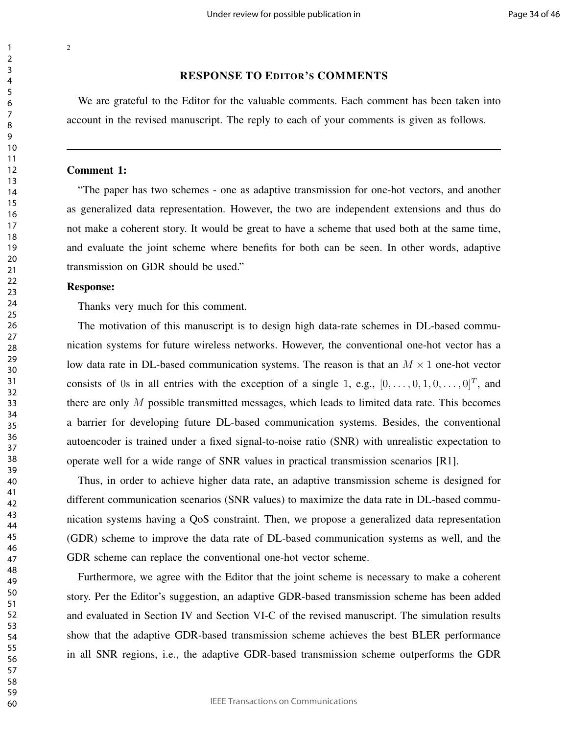#### RESPONSE TO EDITOR'S COMMENTS

We are grateful to the Editor for the valuable comments. Each comment has been taken into account in the revised manuscript. The reply to each of your comments is given as follows.

#### Comment 1:

"The paper has two schemes - one as adaptive transmission for one-hot vectors, and another as generalized data representation. However, the two are independent extensions and thus do not make a coherent story. It would be great to have a scheme that used both at the same time, and evaluate the joint scheme where benefits for both can be seen. In other words, adaptive transmission on GDR should be used."

#### Response:

Thanks very much for this comment.

The motivation of this manuscript is to design high data-rate schemes in DL-based communication systems for future wireless networks. However, the conventional one-hot vector has a low data rate in DL-based communication systems. The reason is that an *M ×* 1 one-hot vector consists of 0s in all entries with the exception of a single 1, e.g.,  $[0, \ldots, 0, 1, 0, \ldots, 0]^T$ , and there are only *M* possible transmitted messages, which leads to limited data rate. This becomes a barrier for developing future DL-based communication systems. Besides, the conventional autoencoder is trained under a fixed signal-to-noise ratio (SNR) with unrealistic expectation to operate well for a wide range of SNR values in practical transmission scenarios [R1].

Thus, in order to achieve higher data rate, an adaptive transmission scheme is designed for different communication scenarios (SNR values) to maximize the data rate in DL-based communication systems having a QoS constraint. Then, we propose a generalized data representation (GDR) scheme to improve the data rate of DL-based communication systems as well, and the GDR scheme can replace the conventional one-hot vector scheme.

Furthermore, we agree with the Editor that the joint scheme is necessary to make a coherent story. Per the Editor's suggestion, an adaptive GDR-based transmission scheme has been added and evaluated in Section IV and Section VI-C of the revised manuscript. The simulation results show that the adaptive GDR-based transmission scheme achieves the best BLER performance in all SNR regions, i.e., the adaptive GDR-based transmission scheme outperforms the GDR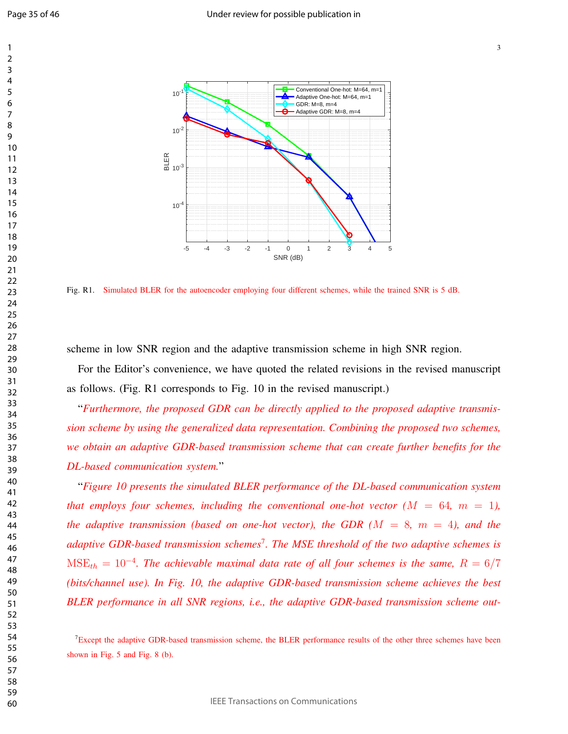

Fig. R1. Simulated BLER for the autoencoder employing four different schemes, while the trained SNR is 5 dB.

scheme in low SNR region and the adaptive transmission scheme in high SNR region.

For the Editor's convenience, we have quoted the related revisions in the revised manuscript as follows. (Fig. R1 corresponds to Fig. 10 in the revised manuscript.)

"*Furthermore, the proposed GDR can be directly applied to the proposed adaptive transmission scheme by using the generalized data representation. Combining the proposed two schemes, we obtain an adaptive GDR-based transmission scheme that can create further benefits for the DL-based communication system.*"

"*Figure 10 presents the simulated BLER performance of the DL-based communication system that employs four schemes, including the conventional one-hot vector* ( $M = 64$ ,  $m = 1$ ), *the adaptive transmission (based on one-hot vector), the GDR (* $M = 8$ *,*  $m = 4$ *), and the adaptive GDR-based transmission schemes*<sup>7</sup> *. The MSE threshold of the two adaptive schemes is* MSE*th* = 10*−*<sup>4</sup> *. The achievable maximal data rate of all four schemes is the same, R* = 6*/*7 *(bits/channel use). In Fig. 10, the adaptive GDR-based transmission scheme achieves the best BLER performance in all SNR regions, i.e., the adaptive GDR-based transmission scheme out-*

Except the adaptive GDR-based transmission scheme, the BLER performance results of the other three schemes have been shown in Fig. 5 and Fig. 8 (b).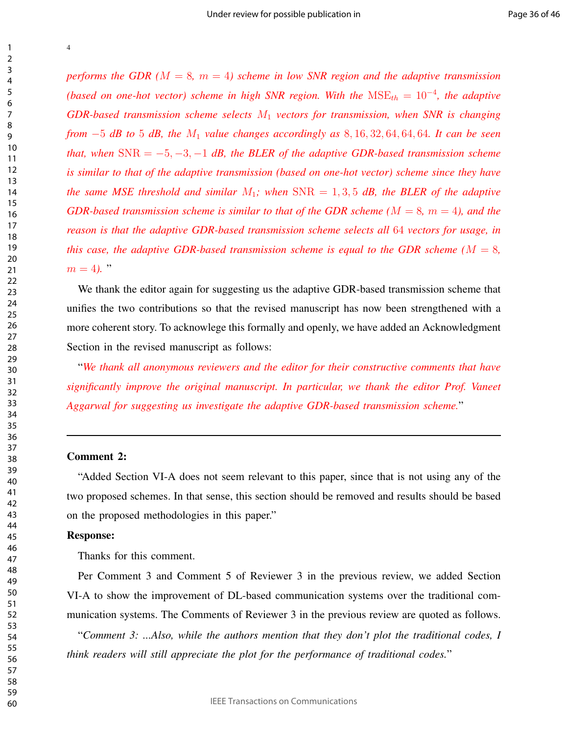*performs the GDR (M* = 8*, m* = 4*) scheme in low SNR region and the adaptive transmission (based on one-hot vector) scheme in high SNR region. With the* MSE*th* = 10*−*<sup>4</sup> *, the adaptive GDR-based transmission scheme selects M*<sup>1</sup> *vectors for transmission, when SNR is changing from −*5 *dB to* 5 *dB, the M*<sup>1</sup> *value changes accordingly as* 8*,* 16*,* 32*,* 64*,* 64*,* 64*. It can be seen that, when* SNR = *−*5*, −*3*, −*1 *dB, the BLER of the adaptive GDR-based transmission scheme is similar to that of the adaptive transmission (based on one-hot vector) scheme since they have the same MSE threshold and similar*  $M_1$ *; when*  $SNR = 1, 3, 5$  *dB, the BLER of the adaptive GDR-based transmission scheme is similar to that of the GDR scheme (* $M = 8$ *,*  $m = 4$ *), and the reason is that the adaptive GDR-based transmission scheme selects all* 64 *vectors for usage, in this case, the adaptive GDR-based transmission scheme is equal to the GDR scheme (* $M = 8$ *,*  $m = 4$ . "

We thank the editor again for suggesting us the adaptive GDR-based transmission scheme that unifies the two contributions so that the revised manuscript has now been strengthened with a more coherent story. To acknowlege this formally and openly, we have added an Acknowledgment Section in the revised manuscript as follows:

"*We thank all anonymous reviewers and the editor for their constructive comments that have significantly improve the original manuscript. In particular, we thank the editor Prof. Vaneet Aggarwal for suggesting us investigate the adaptive GDR-based transmission scheme.*"

#### Comment 2:

"Added Section VI-A does not seem relevant to this paper, since that is not using any of the two proposed schemes. In that sense, this section should be removed and results should be based on the proposed methodologies in this paper."

#### Response:

Thanks for this comment.

Per Comment 3 and Comment 5 of Reviewer 3 in the previous review, we added Section VI-A to show the improvement of DL-based communication systems over the traditional communication systems. The Comments of Reviewer 3 in the previous review are quoted as follows.

"*Comment 3: ...Also, while the authors mention that they don't plot the traditional codes, I think readers will still appreciate the plot for the performance of traditional codes.*"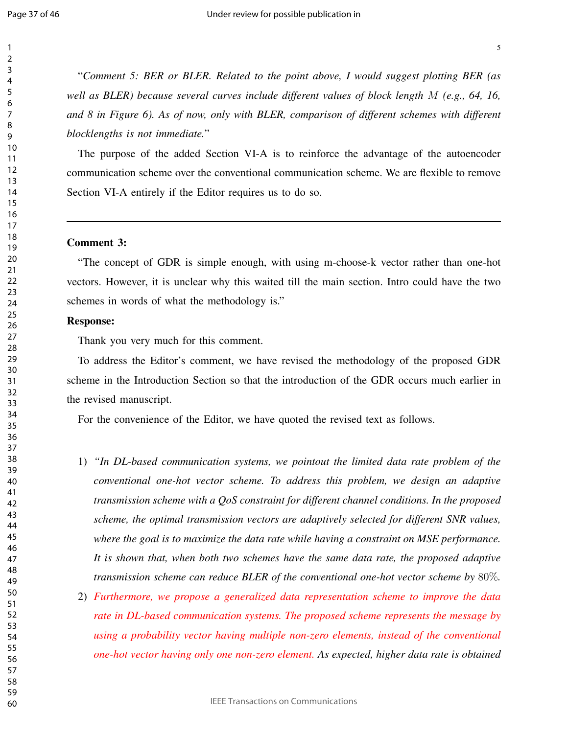"*Comment 5: BER or BLER. Related to the point above, I would suggest plotting BER (as well as BLER) because several curves include different values of block length M (e.g., 64, 16, and 8 in Figure 6). As of now, only with BLER, comparison of different schemes with different blocklengths is not immediate.*"

The purpose of the added Section VI-A is to reinforce the advantage of the autoencoder communication scheme over the conventional communication scheme. We are flexible to remove Section VI-A entirely if the Editor requires us to do so.

#### Comment 3:

"The concept of GDR is simple enough, with using m-choose-k vector rather than one-hot vectors. However, it is unclear why this waited till the main section. Intro could have the two schemes in words of what the methodology is."

#### Response:

Thank you very much for this comment.

To address the Editor's comment, we have revised the methodology of the proposed GDR scheme in the Introduction Section so that the introduction of the GDR occurs much earlier in the revised manuscript.

For the convenience of the Editor, we have quoted the revised text as follows.

- 1) *"In DL-based communication systems, we pointout the limited data rate problem of the conventional one-hot vector scheme. To address this problem, we design an adaptive transmission scheme with a QoS constraint for different channel conditions. In the proposed scheme, the optimal transmission vectors are adaptively selected for different SNR values, where the goal is to maximize the data rate while having a constraint on MSE performance. It is shown that, when both two schemes have the same data rate, the proposed adaptive transmission scheme can reduce BLER of the conventional one-hot vector scheme by* 80%*.*
- 2) *Furthermore, we propose a generalized data representation scheme to improve the data rate in DL-based communication systems. The proposed scheme represents the message by using a probability vector having multiple non-zero elements, instead of the conventional one-hot vector having only one non-zero element. As expected, higher data rate is obtained*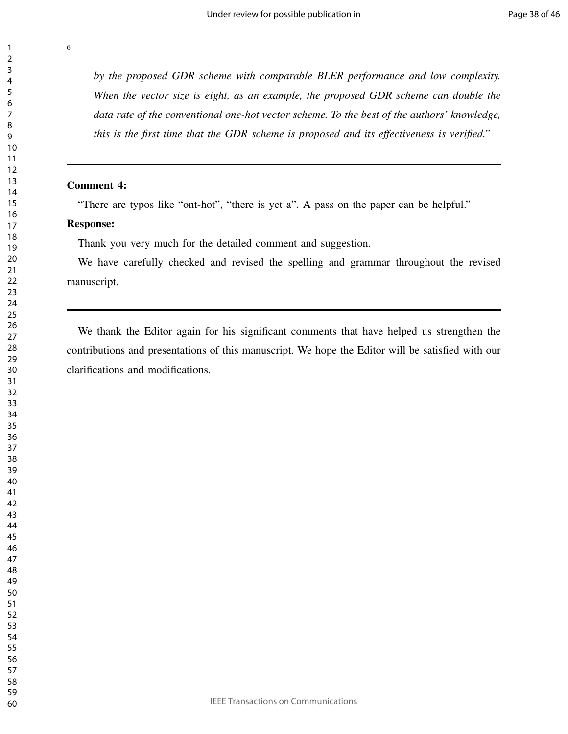*by the proposed GDR scheme with comparable BLER performance and low complexity. When the vector size is eight, as an example, the proposed GDR scheme can double the data rate of the conventional one-hot vector scheme. To the best of the authors' knowledge, this is the first time that the GDR scheme is proposed and its effectiveness is verified."*

#### Comment 4:

"There are typos like "ont-hot", "there is yet a". A pass on the paper can be helpful."

#### Response:

Thank you very much for the detailed comment and suggestion.

We have carefully checked and revised the spelling and grammar throughout the revised manuscript.

We thank the Editor again for his significant comments that have helped us strengthen the contributions and presentations of this manuscript. We hope the Editor will be satisfied with our clarifications and modifications.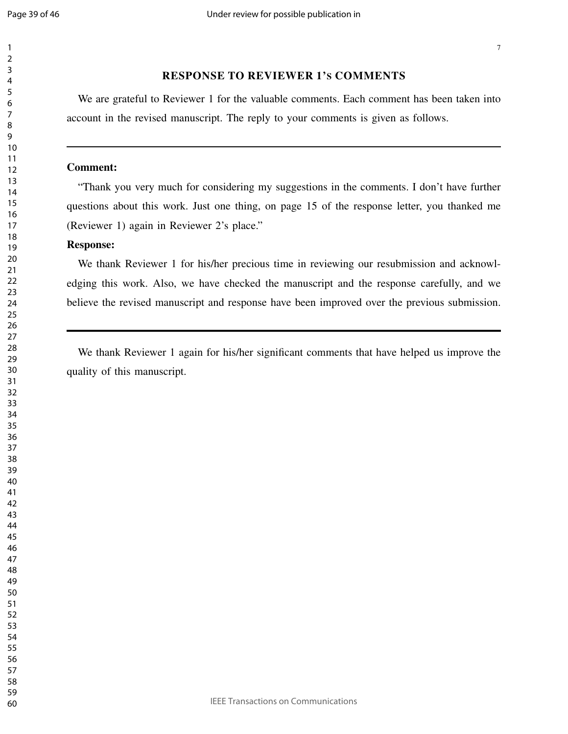#### RESPONSE TO REVIEWER 1'S COMMENTS

We are grateful to Reviewer 1 for the valuable comments. Each comment has been taken into account in the revised manuscript. The reply to your comments is given as follows.

#### Comment:

"Thank you very much for considering my suggestions in the comments. I don't have further questions about this work. Just one thing, on page 15 of the response letter, you thanked me (Reviewer 1) again in Reviewer 2's place."

#### Response:

We thank Reviewer 1 for his/her precious time in reviewing our resubmission and acknowledging this work. Also, we have checked the manuscript and the response carefully, and we believe the revised manuscript and response have been improved over the previous submission.

We thank Reviewer 1 again for his/her significant comments that have helped us improve the quality of this manuscript.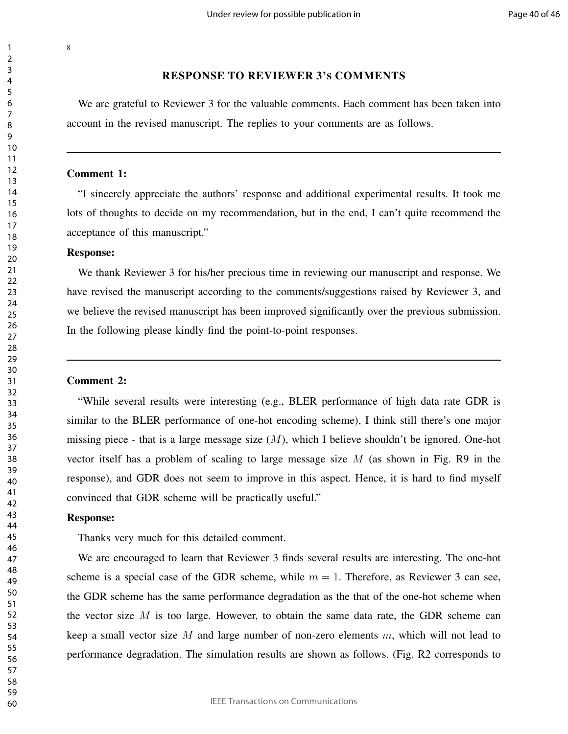#### RESPONSE TO REVIEWER 3'S COMMENTS

We are grateful to Reviewer 3 for the valuable comments. Each comment has been taken into account in the revised manuscript. The replies to your comments are as follows.

#### Comment 1:

"I sincerely appreciate the authors' response and additional experimental results. It took me lots of thoughts to decide on my recommendation, but in the end, I can't quite recommend the acceptance of this manuscript."

#### Response:

We thank Reviewer 3 for his/her precious time in reviewing our manuscript and response. We have revised the manuscript according to the comments/suggestions raised by Reviewer 3, and we believe the revised manuscript has been improved significantly over the previous submission. In the following please kindly find the point-to-point responses.

#### Comment 2:

"While several results were interesting (e.g., BLER performance of high data rate GDR is similar to the BLER performance of one-hot encoding scheme), I think still there's one major missing piece - that is a large message size (*M*), which I believe shouldn't be ignored. One-hot vector itself has a problem of scaling to large message size *M* (as shown in Fig. R9 in the response), and GDR does not seem to improve in this aspect. Hence, it is hard to find myself convinced that GDR scheme will be practically useful."

#### Response:

Thanks very much for this detailed comment.

We are encouraged to learn that Reviewer 3 finds several results are interesting. The one-hot scheme is a special case of the GDR scheme, while  $m = 1$ . Therefore, as Reviewer 3 can see, the GDR scheme has the same performance degradation as the that of the one-hot scheme when the vector size *M* is too large. However, to obtain the same data rate, the GDR scheme can keep a small vector size *M* and large number of non-zero elements *m*, which will not lead to performance degradation. The simulation results are shown as follows. (Fig. R2 corresponds to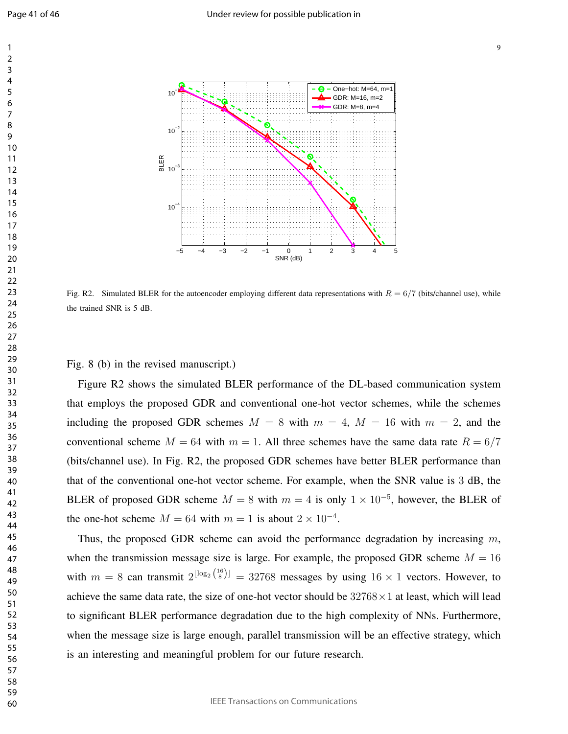

Fig. R2. Simulated BLER for the autoencoder employing different data representations with  $R = 6/7$  (bits/channel use), while the trained SNR is 5 dB.

#### Fig. 8 (b) in the revised manuscript.)

Figure R2 shows the simulated BLER performance of the DL-based communication system that employs the proposed GDR and conventional one-hot vector schemes, while the schemes including the proposed GDR schemes  $M = 8$  with  $m = 4$ ,  $M = 16$  with  $m = 2$ , and the conventional scheme  $M = 64$  with  $m = 1$ . All three schemes have the same data rate  $R = 6/7$ (bits/channel use). In Fig. R2, the proposed GDR schemes have better BLER performance than that of the conventional one-hot vector scheme. For example, when the SNR value is 3 dB, the BLER of proposed GDR scheme  $M = 8$  with  $m = 4$  is only  $1 \times 10^{-5}$ , however, the BLER of the one-hot scheme  $M = 64$  with  $m = 1$  is about  $2 \times 10^{-4}$ .

Thus, the proposed GDR scheme can avoid the performance degradation by increasing *m*, when the transmission message size is large. For example, the proposed GDR scheme  $M = 16$ with  $m = 8$  can transmit  $2^{\lfloor \log_2 \binom{16}{8} \rfloor} = 32768$  messages by using  $16 \times 1$  vectors. However, to achieve the same data rate, the size of one-hot vector should be 32768*×*1 at least, which will lead to significant BLER performance degradation due to the high complexity of NNs. Furthermore, when the message size is large enough, parallel transmission will be an effective strategy, which is an interesting and meaningful problem for our future research.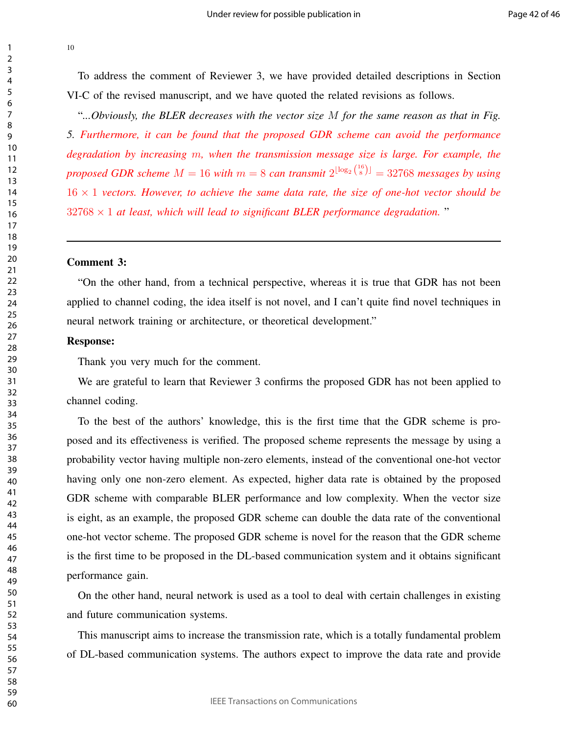To address the comment of Reviewer 3, we have provided detailed descriptions in Section VI-C of the revised manuscript, and we have quoted the related revisions as follows.

"*...Obviously, the BLER decreases with the vector size M for the same reason as that in Fig. 5. Furthermore, it can be found that the proposed GDR scheme can avoid the performance degradation by increasing m, when the transmission message size is large. For example, the proposed GDR scheme*  $M = 16$  *with*  $m = 8$  *can transmit*  $2^{\lfloor \log_2 \binom{16}{8} \rfloor} = 32768$  *messages by using ×* 1 *vectors. However, to achieve the same data rate, the size of one-hot vector should be ×* 1 *at least, which will lead to significant BLER performance degradation.* "

#### Comment 3:

"On the other hand, from a technical perspective, whereas it is true that GDR has not been applied to channel coding, the idea itself is not novel, and I can't quite find novel techniques in neural network training or architecture, or theoretical development."

#### Response:

Thank you very much for the comment.

We are grateful to learn that Reviewer 3 confirms the proposed GDR has not been applied to channel coding.

To the best of the authors' knowledge, this is the first time that the GDR scheme is proposed and its effectiveness is verified. The proposed scheme represents the message by using a probability vector having multiple non-zero elements, instead of the conventional one-hot vector having only one non-zero element. As expected, higher data rate is obtained by the proposed GDR scheme with comparable BLER performance and low complexity. When the vector size is eight, as an example, the proposed GDR scheme can double the data rate of the conventional one-hot vector scheme. The proposed GDR scheme is novel for the reason that the GDR scheme is the first time to be proposed in the DL-based communication system and it obtains significant performance gain.

On the other hand, neural network is used as a tool to deal with certain challenges in existing and future communication systems.

This manuscript aims to increase the transmission rate, which is a totally fundamental problem of DL-based communication systems. The authors expect to improve the data rate and provide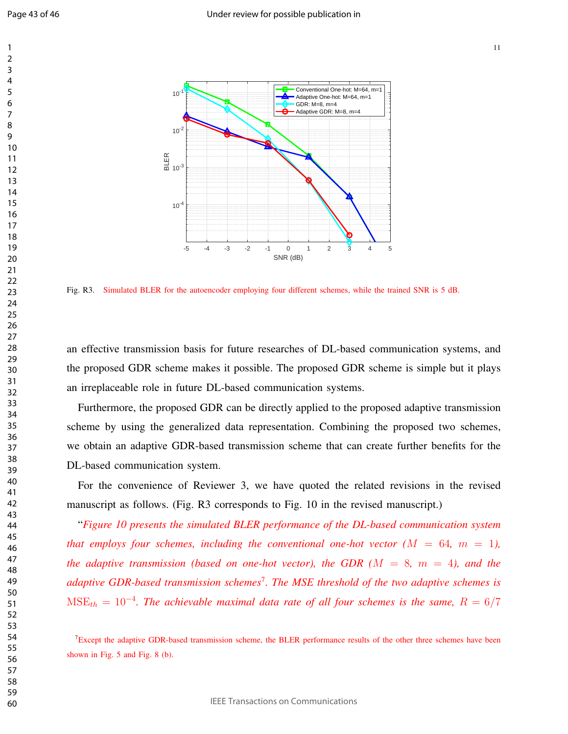

Fig. R3. Simulated BLER for the autoencoder employing four different schemes, while the trained SNR is 5 dB.

an effective transmission basis for future researches of DL-based communication systems, and the proposed GDR scheme makes it possible. The proposed GDR scheme is simple but it plays an irreplaceable role in future DL-based communication systems.

Furthermore, the proposed GDR can be directly applied to the proposed adaptive transmission scheme by using the generalized data representation. Combining the proposed two schemes, we obtain an adaptive GDR-based transmission scheme that can create further benefits for the DL-based communication system.

For the convenience of Reviewer 3, we have quoted the related revisions in the revised manuscript as follows. (Fig. R3 corresponds to Fig. 10 in the revised manuscript.)

"*Figure 10 presents the simulated BLER performance of the DL-based communication system that employs four schemes, including the conventional one-hot vector (* $M = 64$ *,*  $m = 1$ *), the adaptive transmission (based on one-hot vector), the GDR (* $M = 8$ *,*  $m = 4$ *), and the adaptive GDR-based transmission schemes*<sup>7</sup> *. The MSE threshold of the two adaptive schemes is* MSE*th* = 10*−*<sup>4</sup> *. The achievable maximal data rate of all four schemes is the same, R* = 6*/*7

Except the adaptive GDR-based transmission scheme, the BLER performance results of the other three schemes have been shown in Fig. 5 and Fig. 8 (b).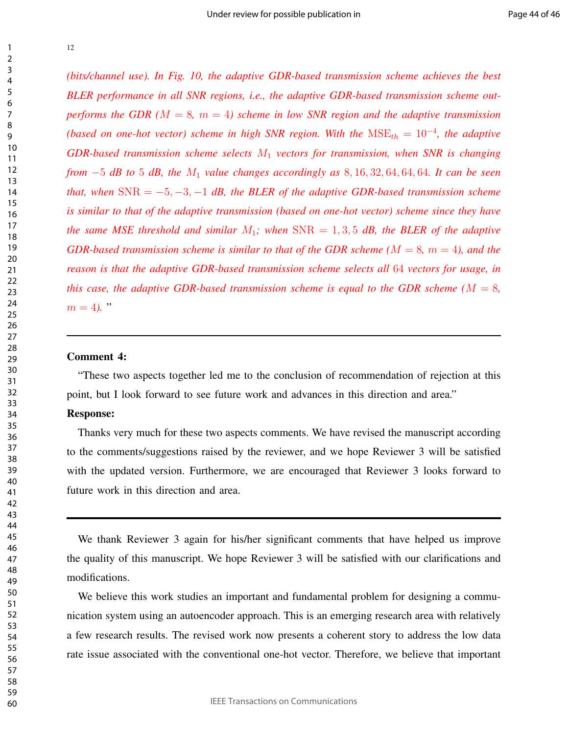*(bits/channel use). In Fig. 10, the adaptive GDR-based transmission scheme achieves the best BLER performance in all SNR regions, i.e., the adaptive GDR-based transmission scheme outperforms the GDR (* $M = 8$ *,*  $m = 4$ *) scheme in low SNR region and the adaptive transmission (based on one-hot vector) scheme in high SNR region. With the* MSE*th* = 10*−*<sup>4</sup> *, the adaptive GDR-based transmission scheme selects M*<sup>1</sup> *vectors for transmission, when SNR is changing from −*5 *dB to* 5 *dB, the M*<sup>1</sup> *value changes accordingly as* 8*,* 16*,* 32*,* 64*,* 64*,* 64*. It can be seen that, when* SNR = *−*5*, −*3*, −*1 *dB, the BLER of the adaptive GDR-based transmission scheme is similar to that of the adaptive transmission (based on one-hot vector) scheme since they have the same MSE threshold and similar*  $M_1$ ; when  $SNR = 1,3,5$  *dB, the BLER of the adaptive GDR-based transmission scheme is similar to that of the GDR scheme (M* = 8*, m* = 4*), and the reason is that the adaptive GDR-based transmission scheme selects all* 64 *vectors for usage, in this case, the adaptive GDR-based transmission scheme is equal to the GDR scheme (* $M = 8$ *,*  $m = 4$ . "

#### Comment 4:

"These two aspects together led me to the conclusion of recommendation of rejection at this point, but I look forward to see future work and advances in this direction and area."

#### Response:

Thanks very much for these two aspects comments. We have revised the manuscript according to the comments/suggestions raised by the reviewer, and we hope Reviewer 3 will be satisfied with the updated version. Furthermore, we are encouraged that Reviewer 3 looks forward to future work in this direction and area.

We thank Reviewer 3 again for his/her significant comments that have helped us improve the quality of this manuscript. We hope Reviewer 3 will be satisfied with our clarifications and modifications.

We believe this work studies an important and fundamental problem for designing a communication system using an autoencoder approach. This is an emerging research area with relatively a few research results. The revised work now presents a coherent story to address the low data rate issue associated with the conventional one-hot vector. Therefore, we believe that important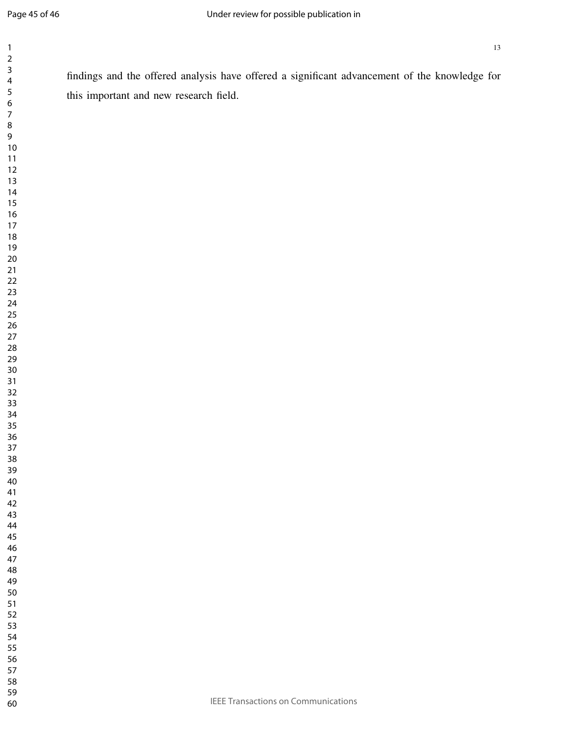findings and the offered analysis have offered a significant advancement of the knowledge for this important and new research field.

IEEE Transactions on Communications